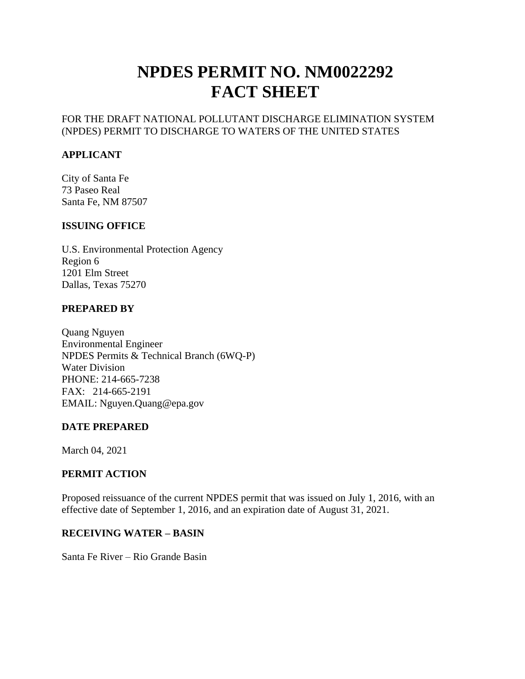# **NPDES PERMIT NO. NM0022292 FACT SHEET**

#### FOR THE DRAFT NATIONAL POLLUTANT DISCHARGE ELIMINATION SYSTEM (NPDES) PERMIT TO DISCHARGE TO WATERS OF THE UNITED STATES

#### **APPLICANT**

City of Santa Fe 73 Paseo Real Santa Fe, NM 87507

#### **ISSUING OFFICE**

U.S. Environmental Protection Agency Region 6 1201 Elm Street Dallas, Texas 75270

#### **PREPARED BY**

Quang Nguyen Environmental Engineer NPDES Permits & Technical Branch (6WQ-P) Water Division PHONE: 214-665-7238 FAX: 214-665-2191 EMAIL: Nguyen.Quang@epa.gov

#### **DATE PREPARED**

March 04, 2021

### **PERMIT ACTION**

Proposed reissuance of the current NPDES permit that was issued on July 1, 2016, with an effective date of September 1, 2016, and an expiration date of August 31, 2021.

#### **RECEIVING WATER – BASIN**

Santa Fe River – Rio Grande Basin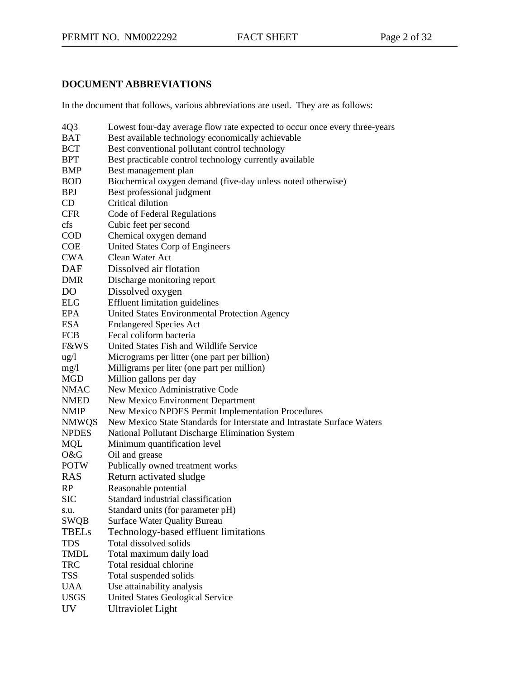# **DOCUMENT ABBREVIATIONS**

In the document that follows, various abbreviations are used. They are as follows:

| 4Q3             | Lowest four-day average flow rate expected to occur once every three-years |
|-----------------|----------------------------------------------------------------------------|
| <b>BAT</b>      | Best available technology economically achievable                          |
| <b>BCT</b>      | Best conventional pollutant control technology                             |
| <b>BPT</b>      | Best practicable control technology currently available                    |
| <b>BMP</b>      | Best management plan                                                       |
| <b>BOD</b>      | Biochemical oxygen demand (five-day unless noted otherwise)                |
| <b>BPJ</b>      | Best professional judgment                                                 |
| CD              | Critical dilution                                                          |
| <b>CFR</b>      | Code of Federal Regulations                                                |
| cfs             | Cubic feet per second                                                      |
| <b>COD</b>      | Chemical oxygen demand                                                     |
| <b>COE</b>      | United States Corp of Engineers                                            |
| <b>CWA</b>      | Clean Water Act                                                            |
| <b>DAF</b>      | Dissolved air flotation                                                    |
| <b>DMR</b>      | Discharge monitoring report                                                |
| D <sub>O</sub>  | Dissolved oxygen                                                           |
| <b>ELG</b>      | <b>Effluent limitation guidelines</b>                                      |
| <b>EPA</b>      | United States Environmental Protection Agency                              |
| <b>ESA</b>      | <b>Endangered Species Act</b>                                              |
| <b>FCB</b>      | Fecal coliform bacteria                                                    |
| <b>F&amp;WS</b> | United States Fish and Wildlife Service                                    |
| $\frac{1}{2}$   | Micrograms per litter (one part per billion)                               |
| mg/1            | Milligrams per liter (one part per million)                                |
| <b>MGD</b>      | Million gallons per day                                                    |
| <b>NMAC</b>     | New Mexico Administrative Code                                             |
| <b>NMED</b>     | New Mexico Environment Department                                          |
| <b>NMIP</b>     | New Mexico NPDES Permit Implementation Procedures                          |
| <b>NMWQS</b>    | New Mexico State Standards for Interstate and Intrastate Surface Waters    |
| <b>NPDES</b>    | National Pollutant Discharge Elimination System                            |
| <b>MQL</b>      | Minimum quantification level                                               |
| O&G             | Oil and grease                                                             |
| <b>POTW</b>     | Publically owned treatment works                                           |
| <b>RAS</b>      | Return activated sludge                                                    |
| RP              | Reasonable potential                                                       |
| <b>SIC</b>      | Standard industrial classification                                         |
| s.u.            | Standard units (for parameter pH)                                          |
| <b>SWQB</b>     | <b>Surface Water Quality Bureau</b>                                        |
| <b>TBELs</b>    | Technology-based effluent limitations                                      |
| <b>TDS</b>      | Total dissolved solids                                                     |
| <b>TMDL</b>     | Total maximum daily load                                                   |
| <b>TRC</b>      | Total residual chlorine                                                    |
| <b>TSS</b>      | Total suspended solids                                                     |
| <b>UAA</b>      | Use attainability analysis                                                 |
| <b>USGS</b>     | <b>United States Geological Service</b>                                    |
| <b>UV</b>       | Ultraviolet Light                                                          |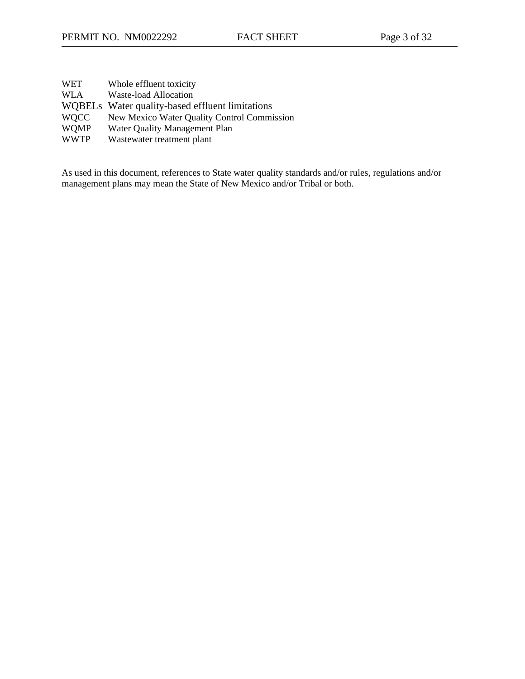| WET         | Whole effluent toxicity                         |
|-------------|-------------------------------------------------|
| WLA         | Waste-load Allocation                           |
|             | WQBELs Water quality-based effluent limitations |
| <b>WOCC</b> | New Mexico Water Quality Control Commission     |
| <b>WOMP</b> | Water Quality Management Plan                   |
| <b>WWTP</b> | Wastewater treatment plant                      |

As used in this document, references to State water quality standards and/or rules, regulations and/or management plans may mean the State of New Mexico and/or Tribal or both.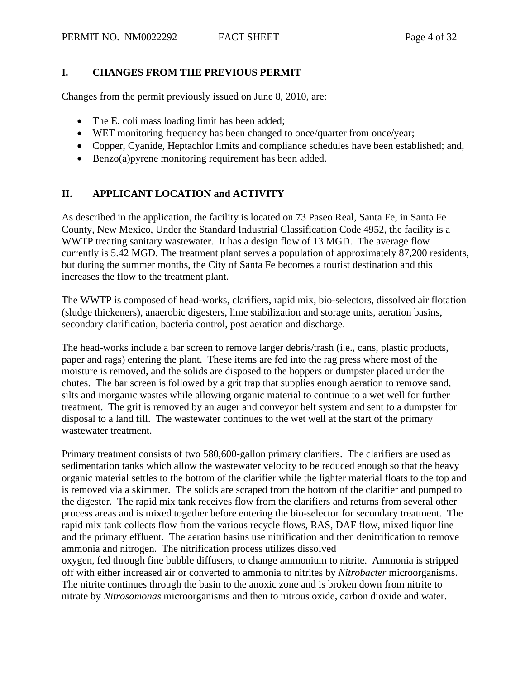### **I. CHANGES FROM THE PREVIOUS PERMIT**

Changes from the permit previously issued on June 8, 2010, are:

- The E. coli mass loading limit has been added;
- WET monitoring frequency has been changed to once/quarter from once/year;
- Copper, Cyanide, Heptachlor limits and compliance schedules have been established; and,
- Benzo(a) pyrene monitoring requirement has been added.

# **II. APPLICANT LOCATION and ACTIVITY**

As described in the application, the facility is located on 73 Paseo Real, Santa Fe, in Santa Fe County, New Mexico, Under the Standard Industrial Classification Code 4952, the facility is a WWTP treating sanitary wastewater. It has a design flow of 13 MGD. The average flow currently is 5.42 MGD. The treatment plant serves a population of approximately 87,200 residents, but during the summer months, the City of Santa Fe becomes a tourist destination and this increases the flow to the treatment plant.

The WWTP is composed of head-works, clarifiers, rapid mix, bio-selectors, dissolved air flotation (sludge thickeners), anaerobic digesters, lime stabilization and storage units, aeration basins, secondary clarification, bacteria control, post aeration and discharge.

The head-works include a bar screen to remove larger debris/trash (i.e., cans, plastic products, paper and rags) entering the plant. These items are fed into the rag press where most of the moisture is removed, and the solids are disposed to the hoppers or dumpster placed under the chutes. The bar screen is followed by a grit trap that supplies enough aeration to remove sand, silts and inorganic wastes while allowing organic material to continue to a wet well for further treatment. The grit is removed by an auger and conveyor belt system and sent to a dumpster for disposal to a land fill. The wastewater continues to the wet well at the start of the primary wastewater treatment.

Primary treatment consists of two 580,600-gallon primary clarifiers. The clarifiers are used as sedimentation tanks which allow the wastewater velocity to be reduced enough so that the heavy organic material settles to the bottom of the clarifier while the lighter material floats to the top and is removed via a skimmer. The solids are scraped from the bottom of the clarifier and pumped to the digester. The rapid mix tank receives flow from the clarifiers and returns from several other process areas and is mixed together before entering the bio-selector for secondary treatment. The rapid mix tank collects flow from the various recycle flows, RAS, DAF flow, mixed liquor line and the primary effluent. The aeration basins use nitrification and then denitrification to remove ammonia and nitrogen. The nitrification process utilizes dissolved

oxygen, fed through fine bubble diffusers, to change ammonium to nitrite. Ammonia is stripped off with either increased air or converted to ammonia to nitrites by *Nitrobacter* microorganisms. The nitrite continues through the basin to the anoxic zone and is broken down from nitrite to nitrate by *Nitrosomonas* microorganisms and then to nitrous oxide, carbon dioxide and water.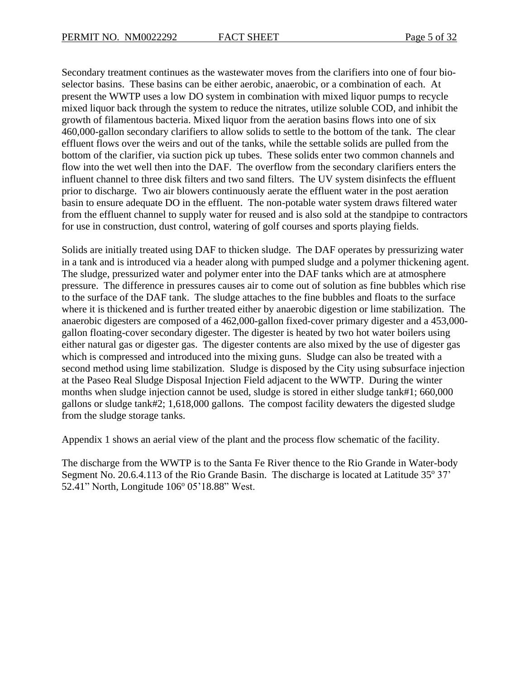Secondary treatment continues as the wastewater moves from the clarifiers into one of four bioselector basins. These basins can be either aerobic, anaerobic, or a combination of each. At present the WWTP uses a low DO system in combination with mixed liquor pumps to recycle mixed liquor back through the system to reduce the nitrates, utilize soluble COD, and inhibit the growth of filamentous bacteria. Mixed liquor from the aeration basins flows into one of six 460,000-gallon secondary clarifiers to allow solids to settle to the bottom of the tank. The clear effluent flows over the weirs and out of the tanks, while the settable solids are pulled from the bottom of the clarifier, via suction pick up tubes. These solids enter two common channels and flow into the wet well then into the DAF. The overflow from the secondary clarifiers enters the influent channel to three disk filters and two sand filters. The UV system disinfects the effluent prior to discharge. Two air blowers continuously aerate the effluent water in the post aeration basin to ensure adequate DO in the effluent. The non-potable water system draws filtered water from the effluent channel to supply water for reused and is also sold at the standpipe to contractors for use in construction, dust control, watering of golf courses and sports playing fields.

Solids are initially treated using DAF to thicken sludge. The DAF operates by pressurizing water in a tank and is introduced via a header along with pumped sludge and a polymer thickening agent. The sludge, pressurized water and polymer enter into the DAF tanks which are at atmosphere pressure. The difference in pressures causes air to come out of solution as fine bubbles which rise to the surface of the DAF tank. The sludge attaches to the fine bubbles and floats to the surface where it is thickened and is further treated either by anaerobic digestion or lime stabilization. The anaerobic digesters are composed of a 462,000-gallon fixed-cover primary digester and a 453,000 gallon floating-cover secondary digester. The digester is heated by two hot water boilers using either natural gas or digester gas. The digester contents are also mixed by the use of digester gas which is compressed and introduced into the mixing guns. Sludge can also be treated with a second method using lime stabilization. Sludge is disposed by the City using subsurface injection at the Paseo Real Sludge Disposal Injection Field adjacent to the WWTP. During the winter months when sludge injection cannot be used, sludge is stored in either sludge tank#1; 660,000 gallons or sludge tank#2; 1,618,000 gallons. The compost facility dewaters the digested sludge from the sludge storage tanks.

Appendix 1 shows an aerial view of the plant and the process flow schematic of the facility.

The discharge from the WWTP is to the Santa Fe River thence to the Rio Grande in Water-body Segment No. 20.6.4.113 of the Rio Grande Basin. The discharge is located at Latitude  $35^{\circ}$  37' 52.41" North, Longitude 106° 05'18.88" West.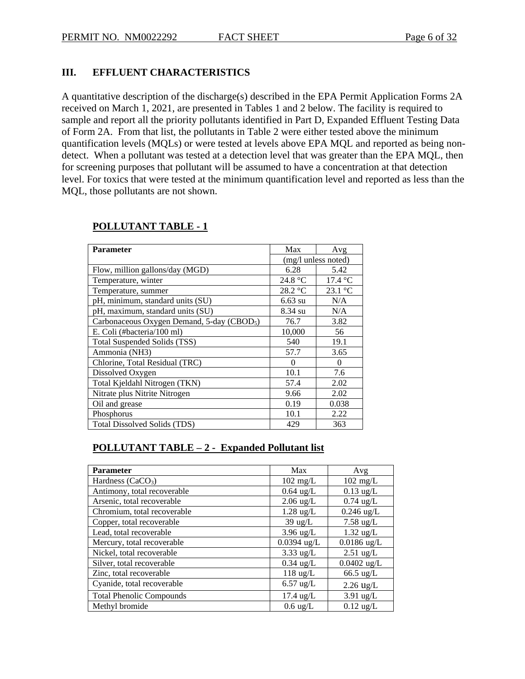#### **III. EFFLUENT CHARACTERISTICS**

A quantitative description of the discharge(s) described in the EPA Permit Application Forms 2A received on March 1, 2021, are presented in Tables 1 and 2 below. The facility is required to sample and report all the priority pollutants identified in Part D, Expanded Effluent Testing Data of Form 2A. From that list, the pollutants in Table 2 were either tested above the minimum quantification levels (MQLs) or were tested at levels above EPA MQL and reported as being nondetect. When a pollutant was tested at a detection level that was greater than the EPA MQL, then for screening purposes that pollutant will be assumed to have a concentration at that detection level. For toxics that were tested at the minimum quantification level and reported as less than the MQL, those pollutants are not shown.

| <b>Parameter</b>                                       | Max               | Avg                      |
|--------------------------------------------------------|-------------------|--------------------------|
|                                                        |                   | (mg/l unless noted)      |
| Flow, million gallons/day (MGD)                        | 6.28              | 5.42                     |
| Temperature, winter                                    | 24.8 $\degree$ C  | $17.4 \text{ }^{\circ}C$ |
| Temperature, summer                                    | $28.2 \text{ °C}$ | 23.1 °C                  |
| pH, minimum, standard units (SU)                       | $6.63 \text{ su}$ | N/A                      |
| pH, maximum, standard units (SU)                       | 8.34 su           | N/A                      |
| Carbonaceous Oxygen Demand, 5-day (CBOD <sub>5</sub> ) | 76.7              | 3.82                     |
| E. Coli (#bacteria/100 ml)                             | 10,000            | 56                       |
| Total Suspended Solids (TSS)                           | 540               | 19.1                     |
| Ammonia (NH3)                                          | 57.7              | 3.65                     |
| Chlorine, Total Residual (TRC)                         | 0                 | $\theta$                 |
| Dissolved Oxygen                                       | 10.1              | 7.6                      |
| Total Kjeldahl Nitrogen (TKN)                          | 57.4              | 2.02                     |
| Nitrate plus Nitrite Nitrogen                          | 9.66              | 2.02                     |
| Oil and grease                                         | 0.19              | 0.038                    |
| Phosphorus                                             | 10.1              | 2.22                     |
| Total Dissolved Solids (TDS)                           | 429               | 363                      |

#### **POLLUTANT TABLE - 1**

### **POLLUTANT TABLE – 2 - Expanded Pollutant list**

| <b>Parameter</b>                | Max                 | Avg                 |
|---------------------------------|---------------------|---------------------|
| Hardness $(CaCO3)$              | $102 \text{ mg/L}$  | $102 \text{ mg/L}$  |
| Antimony, total recoverable     | $0.64$ ug/L         | $0.13$ ug/L         |
| Arsenic, total recoverable      | $2.06$ ug/L         | $0.74$ ug/L         |
| Chromium, total recoverable     | $1.28 \text{ ug/L}$ | $0.246$ ug/L        |
| Copper, total recoverable       | $39 \text{ ug/L}$   | $7.58 \text{ ug/L}$ |
| Lead, total recoverable         | $3.96$ ug/L         | $1.32 \text{ ug/L}$ |
| Mercury, total recoverable      | $0.0394$ ug/L       | $0.0186$ ug/L       |
| Nickel, total recoverable       | $3.33$ ug/L         | $2.51$ ug/L         |
| Silver, total recoverable       | $0.34$ ug/L         | $0.0402$ ug/L       |
| Zinc, total recoverable         | $118$ ug/L          | $66.5 \text{ ug/L}$ |
| Cyanide, total recoverable      | $6.57$ ug/L         | $2.26$ ug/L         |
| <b>Total Phenolic Compounds</b> | $17.4 \text{ ug/L}$ | $3.91$ ug/L         |
| Methyl bromide                  | $0.6 \text{ ug/L}$  | $0.12$ ug/L         |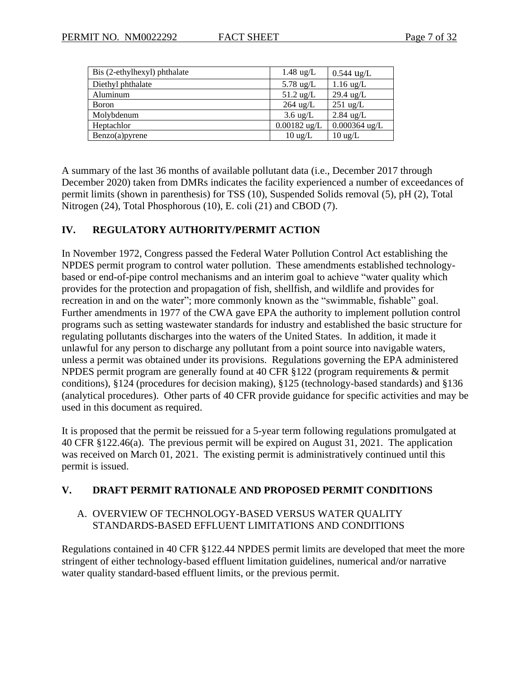| Bis (2-ethylhexyl) phthalate | $1.48 \text{ ug/L}$ | $0.544$ ug/L        |
|------------------------------|---------------------|---------------------|
| Diethyl phthalate            | 5.78 $\mu$ g/L      | $1.16$ ug/L         |
| Aluminum                     | $51.2$ ug/L         | $29.4 \text{ ug/L}$ |
| <b>B</b> oron                | $264$ ug/L          | $251 \text{ ug/L}$  |
| Molybdenum                   | $3.6 \text{ ug/L}$  | $2.84$ ug/L         |
| Heptachlor                   | $0.00182$ ug/L      | $0.000364$ ug/L     |
| Benzo(a)pyrene               | $10 \text{ ug/L}$   | $10 \text{ ug/L}$   |

A summary of the last 36 months of available pollutant data (i.e., December 2017 through December 2020) taken from DMRs indicates the facility experienced a number of exceedances of permit limits (shown in parenthesis) for TSS (10), Suspended Solids removal (5), pH (2), Total Nitrogen (24), Total Phosphorous (10), E. coli (21) and CBOD (7).

#### **IV. REGULATORY AUTHORITY/PERMIT ACTION**

In November 1972, Congress passed the Federal Water Pollution Control Act establishing the NPDES permit program to control water pollution. These amendments established technologybased or end-of-pipe control mechanisms and an interim goal to achieve "water quality which provides for the protection and propagation of fish, shellfish, and wildlife and provides for recreation in and on the water"; more commonly known as the "swimmable, fishable" goal. Further amendments in 1977 of the CWA gave EPA the authority to implement pollution control programs such as setting wastewater standards for industry and established the basic structure for regulating pollutants discharges into the waters of the United States. In addition, it made it unlawful for any person to discharge any pollutant from a point source into navigable waters, unless a permit was obtained under its provisions. Regulations governing the EPA administered NPDES permit program are generally found at 40 CFR §122 (program requirements & permit conditions), §124 (procedures for decision making), §125 (technology-based standards) and §136 (analytical procedures). Other parts of 40 CFR provide guidance for specific activities and may be used in this document as required.

It is proposed that the permit be reissued for a 5-year term following regulations promulgated at 40 CFR §122.46(a). The previous permit will be expired on August 31, 2021. The application was received on March 01, 2021. The existing permit is administratively continued until this permit is issued.

#### **V. DRAFT PERMIT RATIONALE AND PROPOSED PERMIT CONDITIONS**

### A. OVERVIEW OF TECHNOLOGY-BASED VERSUS WATER QUALITY STANDARDS-BASED EFFLUENT LIMITATIONS AND CONDITIONS

Regulations contained in 40 CFR §122.44 NPDES permit limits are developed that meet the more stringent of either technology-based effluent limitation guidelines, numerical and/or narrative water quality standard-based effluent limits, or the previous permit.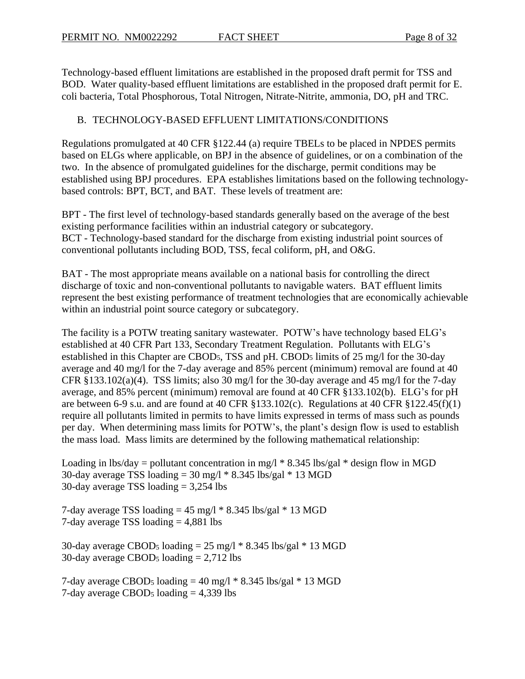Technology-based effluent limitations are established in the proposed draft permit for TSS and BOD. Water quality-based effluent limitations are established in the proposed draft permit for E. coli bacteria, Total Phosphorous, Total Nitrogen, Nitrate-Nitrite, ammonia, DO, pH and TRC.

# B. TECHNOLOGY-BASED EFFLUENT LIMITATIONS/CONDITIONS

Regulations promulgated at 40 CFR §122.44 (a) require TBELs to be placed in NPDES permits based on ELGs where applicable, on BPJ in the absence of guidelines, or on a combination of the two. In the absence of promulgated guidelines for the discharge, permit conditions may be established using BPJ procedures. EPA establishes limitations based on the following technologybased controls: BPT, BCT, and BAT. These levels of treatment are:

BPT - The first level of technology-based standards generally based on the average of the best existing performance facilities within an industrial category or subcategory. BCT - Technology-based standard for the discharge from existing industrial point sources of conventional pollutants including BOD, TSS, fecal coliform, pH, and O&G.

BAT - The most appropriate means available on a national basis for controlling the direct discharge of toxic and non-conventional pollutants to navigable waters. BAT effluent limits represent the best existing performance of treatment technologies that are economically achievable within an industrial point source category or subcategory.

The facility is a POTW treating sanitary wastewater. POTW's have technology based ELG's established at 40 CFR Part 133, Secondary Treatment Regulation. Pollutants with ELG's established in this Chapter are CBOD5, TSS and pH. CBOD<sup>5</sup> limits of 25 mg/l for the 30-day average and 40 mg/l for the 7-day average and 85% percent (minimum) removal are found at 40 CFR §133.102(a)(4). TSS limits; also 30 mg/l for the 30-day average and 45 mg/l for the 7-day average, and 85% percent (minimum) removal are found at 40 CFR §133.102(b). ELG's for pH are between 6-9 s.u. and are found at 40 CFR  $\S 133.102(c)$ . Regulations at 40 CFR  $\S 122.45(f)(1)$ require all pollutants limited in permits to have limits expressed in terms of mass such as pounds per day. When determining mass limits for POTW's, the plant's design flow is used to establish the mass load. Mass limits are determined by the following mathematical relationship:

Loading in lbs/day = pollutant concentration in mg/l  $*$  8.345 lbs/gal  $*$  design flow in MGD 30-day average TSS loading =  $30 \text{ mg/l} * 8.345 \text{ lbs/gal} * 13 \text{ MGD}$ 30-day average TSS loading = 3,254 lbs

7-day average TSS loading  $= 45$  mg/l  $* 8.345$  lbs/gal  $* 13$  MGD 7-day average TSS loading  $= 4,881$  lbs

30-day average CBOD<sub>5</sub> loading  $= 25$  mg/l  $* 8.345$  lbs/gal  $* 13$  MGD 30-day average CBOD<sub>5</sub> loading  $= 2,712$  lbs

7-day average CBOD<sub>5</sub> loading  $= 40$  mg/l  $* 8.345$  lbs/gal  $* 13$  MGD 7-day average CBOD<sub>5</sub> loading  $= 4,339$  lbs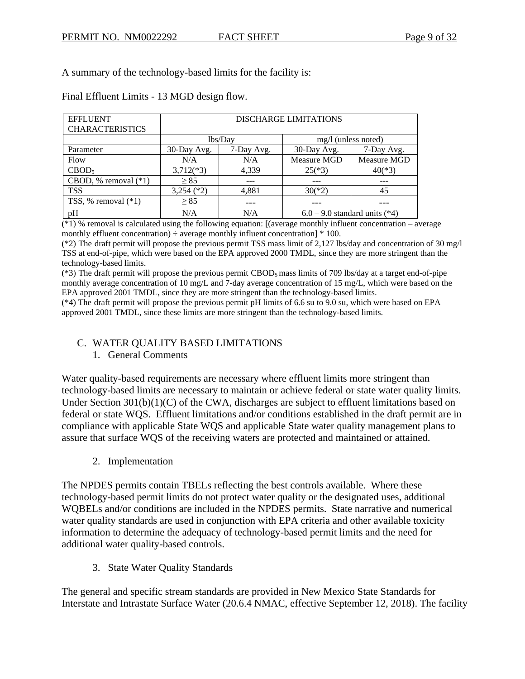A summary of the technology-based limits for the facility is:

| <b>EFFLUENT</b>        | DISCHARGE LIMITATIONS |            |                                 |             |  |  |  |  |  |  |
|------------------------|-----------------------|------------|---------------------------------|-------------|--|--|--|--|--|--|
| <b>CHARACTERISTICS</b> |                       |            |                                 |             |  |  |  |  |  |  |
|                        |                       | lbs/Day    | $mg/l$ (unless noted)           |             |  |  |  |  |  |  |
| Parameter              | 30-Day Avg.           | 7-Day Avg. | 30-Day Avg.                     | 7-Day Avg.  |  |  |  |  |  |  |
| Flow                   | N/A                   | N/A        | Measure MGD                     | Measure MGD |  |  |  |  |  |  |
| CBOD <sub>5</sub>      | $3,712(*3)$           | 4,339      | $25(*)3)$                       | $40(*3)$    |  |  |  |  |  |  |
| CBOD, % removal $(*1)$ | $\geq$ 85             |            |                                 |             |  |  |  |  |  |  |
| <b>TSS</b>             | $3,254$ (*2)          | 4,881      | $30(*)2)$                       | 45          |  |  |  |  |  |  |
| TSS, % removal $(*1)$  | > 85                  |            |                                 |             |  |  |  |  |  |  |
| pH                     | N/A                   | N/A        | $6.0 - 9.0$ standard units (*4) |             |  |  |  |  |  |  |

Final Effluent Limits - 13 MGD design flow.

(\*1) % removal is calculated using the following equation: [(average monthly influent concentration – average monthly effluent concentration)  $\div$  average monthly influent concentration]  $*$  100.

(\*2) The draft permit will propose the previous permit TSS mass limit of 2,127 lbs/day and concentration of 30 mg/l TSS at end-of-pipe, which were based on the EPA approved 2000 TMDL, since they are more stringent than the technology-based limits.

(\*3) The draft permit will propose the previous permit CBOD<sup>5</sup> mass limits of 709 lbs/day at a target end-of-pipe monthly average concentration of 10 mg/L and 7-day average concentration of 15 mg/L, which were based on the EPA approved 2001 TMDL, since they are more stringent than the technology-based limits.

(\*4) The draft permit will propose the previous permit pH limits of 6.6 su to 9.0 su, which were based on EPA approved 2001 TMDL, since these limits are more stringent than the technology-based limits.

### C. WATER QUALITY BASED LIMITATIONS

1. General Comments

Water quality-based requirements are necessary where effluent limits more stringent than technology-based limits are necessary to maintain or achieve federal or state water quality limits. Under Section 301(b)(1)(C) of the CWA, discharges are subject to effluent limitations based on federal or state WQS. Effluent limitations and/or conditions established in the draft permit are in compliance with applicable State WQS and applicable State water quality management plans to assure that surface WQS of the receiving waters are protected and maintained or attained.

2. Implementation

The NPDES permits contain TBELs reflecting the best controls available. Where these technology-based permit limits do not protect water quality or the designated uses, additional WQBELs and/or conditions are included in the NPDES permits. State narrative and numerical water quality standards are used in conjunction with EPA criteria and other available toxicity information to determine the adequacy of technology-based permit limits and the need for additional water quality-based controls.

3. State Water Quality Standards

The general and specific stream standards are provided in New Mexico State Standards for Interstate and Intrastate Surface Water (20.6.4 NMAC, effective September 12, 2018). The facility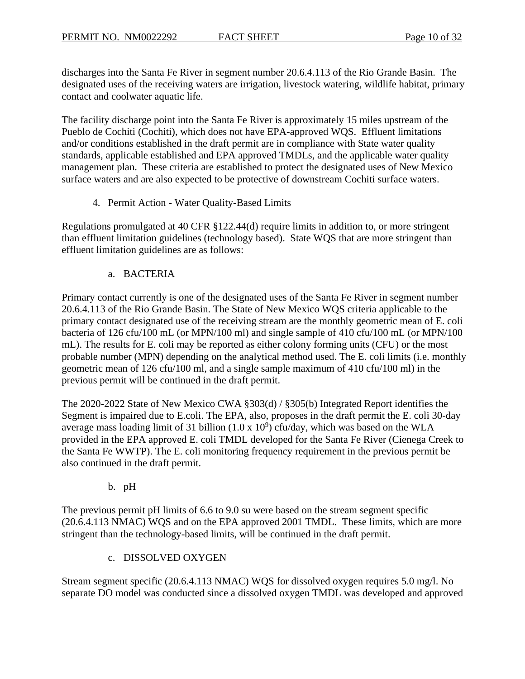discharges into the Santa Fe River in segment number 20.6.4.113 of the Rio Grande Basin. The designated uses of the receiving waters are irrigation, livestock watering, wildlife habitat, primary contact and coolwater aquatic life.

The facility discharge point into the Santa Fe River is approximately 15 miles upstream of the Pueblo de Cochiti (Cochiti), which does not have EPA-approved WQS. Effluent limitations and/or conditions established in the draft permit are in compliance with State water quality standards, applicable established and EPA approved TMDLs, and the applicable water quality management plan. These criteria are established to protect the designated uses of New Mexico surface waters and are also expected to be protective of downstream Cochiti surface waters.

4. Permit Action - Water Quality-Based Limits

Regulations promulgated at 40 CFR §122.44(d) require limits in addition to, or more stringent than effluent limitation guidelines (technology based). State WQS that are more stringent than effluent limitation guidelines are as follows:

#### a. BACTERIA

Primary contact currently is one of the designated uses of the Santa Fe River in segment number 20.6.4.113 of the Rio Grande Basin. The State of New Mexico WQS criteria applicable to the primary contact designated use of the receiving stream are the monthly geometric mean of E. coli bacteria of 126 cfu/100 mL (or MPN/100 ml) and single sample of 410 cfu/100 mL (or MPN/100 mL). The results for E. coli may be reported as either colony forming units (CFU) or the most probable number (MPN) depending on the analytical method used. The E. coli limits (i.e. monthly geometric mean of 126 cfu/100 ml, and a single sample maximum of 410 cfu/100 ml) in the previous permit will be continued in the draft permit.

The 2020-2022 State of New Mexico CWA §303(d) / §305(b) Integrated Report identifies the Segment is impaired due to E.coli. The EPA, also, proposes in the draft permit the E. coli 30-day average mass loading limit of 31 billion  $(1.0 \times 10^9)$  cfu/day, which was based on the WLA provided in the EPA approved E. coli TMDL developed for the Santa Fe River (Cienega Creek to the Santa Fe WWTP). The E. coli monitoring frequency requirement in the previous permit be also continued in the draft permit.

### b. pH

The previous permit pH limits of 6.6 to 9.0 su were based on the stream segment specific (20.6.4.113 NMAC) WQS and on the EPA approved 2001 TMDL. These limits, which are more stringent than the technology-based limits, will be continued in the draft permit.

### c. DISSOLVED OXYGEN

Stream segment specific (20.6.4.113 NMAC) WQS for dissolved oxygen requires 5.0 mg/l. No separate DO model was conducted since a dissolved oxygen TMDL was developed and approved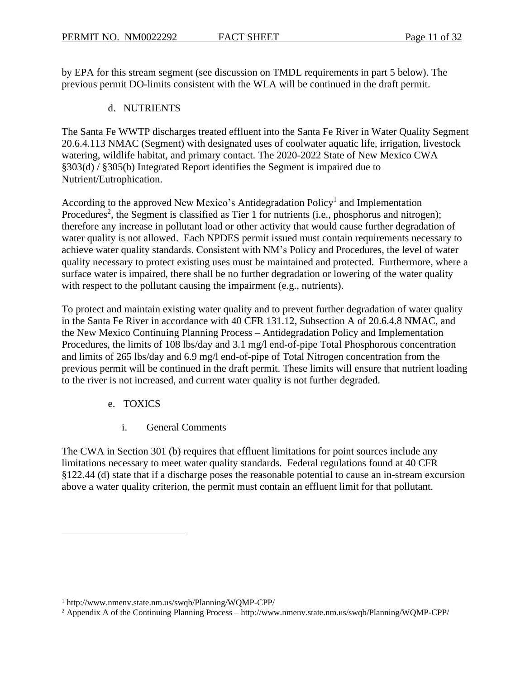by EPA for this stream segment (see discussion on TMDL requirements in part 5 below). The previous permit DO-limits consistent with the WLA will be continued in the draft permit.

## d. NUTRIENTS

The Santa Fe WWTP discharges treated effluent into the Santa Fe River in Water Quality Segment 20.6.4.113 NMAC (Segment) with designated uses of coolwater aquatic life, irrigation, livestock watering, wildlife habitat, and primary contact. The 2020-2022 State of New Mexico CWA §303(d) / §305(b) Integrated Report identifies the Segment is impaired due to Nutrient/Eutrophication.

According to the approved New Mexico's Antidegradation Policy<sup>1</sup> and Implementation Procedures<sup>2</sup>, the Segment is classified as Tier 1 for nutrients (i.e., phosphorus and nitrogen); therefore any increase in pollutant load or other activity that would cause further degradation of water quality is not allowed. Each NPDES permit issued must contain requirements necessary to achieve water quality standards. Consistent with NM's Policy and Procedures, the level of water quality necessary to protect existing uses must be maintained and protected. Furthermore, where a surface water is impaired, there shall be no further degradation or lowering of the water quality with respect to the pollutant causing the impairment (e.g., nutrients).

To protect and maintain existing water quality and to prevent further degradation of water quality in the Santa Fe River in accordance with 40 CFR 131.12, Subsection A of 20.6.4.8 NMAC, and the New Mexico Continuing Planning Process – Antidegradation Policy and Implementation Procedures, the limits of 108 lbs/day and 3.1 mg/l end-of-pipe Total Phosphorous concentration and limits of 265 lbs/day and 6.9 mg/l end-of-pipe of Total Nitrogen concentration from the previous permit will be continued in the draft permit. These limits will ensure that nutrient loading to the river is not increased, and current water quality is not further degraded.

- e. TOXICS
	- i. General Comments

The CWA in Section 301 (b) requires that effluent limitations for point sources include any limitations necessary to meet water quality standards. Federal regulations found at 40 CFR §122.44 (d) state that if a discharge poses the reasonable potential to cause an in-stream excursion above a water quality criterion, the permit must contain an effluent limit for that pollutant.

<sup>1</sup> http://www.nmenv.state.nm.us/swqb/Planning/WQMP-CPP/

<sup>2</sup> Appendix A of the Continuing Planning Process – http://www.nmenv.state.nm.us/swqb/Planning/WQMP-CPP/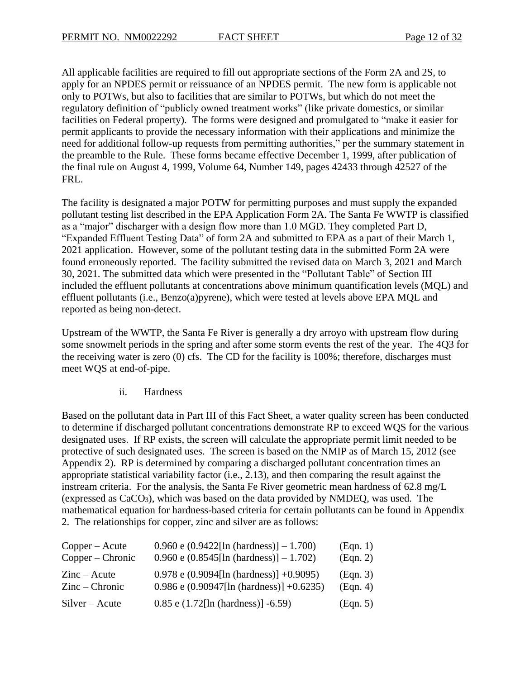All applicable facilities are required to fill out appropriate sections of the Form 2A and 2S, to apply for an NPDES permit or reissuance of an NPDES permit. The new form is applicable not only to POTWs, but also to facilities that are similar to POTWs, but which do not meet the regulatory definition of "publicly owned treatment works" (like private domestics, or similar facilities on Federal property). The forms were designed and promulgated to "make it easier for permit applicants to provide the necessary information with their applications and minimize the need for additional follow-up requests from permitting authorities," per the summary statement in the preamble to the Rule. These forms became effective December 1, 1999, after publication of the final rule on August 4, 1999, Volume 64, Number 149, pages 42433 through 42527 of the FRL.

The facility is designated a major POTW for permitting purposes and must supply the expanded pollutant testing list described in the EPA Application Form 2A. The Santa Fe WWTP is classified as a "major" discharger with a design flow more than 1.0 MGD. They completed Part D, "Expanded Effluent Testing Data" of form 2A and submitted to EPA as a part of their March 1, 2021 application. However, some of the pollutant testing data in the submitted Form 2A were found erroneously reported. The facility submitted the revised data on March 3, 2021 and March 30, 2021. The submitted data which were presented in the "Pollutant Table" of Section III included the effluent pollutants at concentrations above minimum quantification levels (MQL) and effluent pollutants (i.e., Benzo(a)pyrene), which were tested at levels above EPA MQL and reported as being non-detect.

Upstream of the WWTP, the Santa Fe River is generally a dry arroyo with upstream flow during some snowmelt periods in the spring and after some storm events the rest of the year. The 4Q3 for the receiving water is zero (0) cfs. The CD for the facility is 100%; therefore, discharges must meet WQS at end-of-pipe.

ii. Hardness

Based on the pollutant data in Part III of this Fact Sheet, a water quality screen has been conducted to determine if discharged pollutant concentrations demonstrate RP to exceed WQS for the various designated uses. If RP exists, the screen will calculate the appropriate permit limit needed to be protective of such designated uses. The screen is based on the NMIP as of March 15, 2012 (see Appendix 2). RP is determined by comparing a discharged pollutant concentration times an appropriate statistical variability factor (i.e., 2.13), and then comparing the result against the instream criteria. For the analysis, the Santa Fe River geometric mean hardness of 62.8 mg/L (expressed as CaCO3), which was based on the data provided by NMDEQ, was used. The mathematical equation for hardness-based criteria for certain pollutants can be found in Appendix 2. The relationships for copper, zinc and silver are as follows:

| $Copper - Acute$             | 0.960 e (0.9422[ln (hardness)] $- 1.700$ )   | (Eqn. 1) |
|------------------------------|----------------------------------------------|----------|
| Copper – Chronic             | 0.960 e (0.8545[ln (hardness)] $- 1.702$ )   | (Eqn. 2) |
| $\text{Zinc} - \text{Acute}$ | $0.978$ e $(0.9094$ [ln (hardness)] +0.9095) | (Eqn. 3) |
| $Zinc -$ Chronic             | 0.986 e (0.90947[ln (hardness)] +0.6235)     | (Eqn. 4) |
| $Silver - Acute$             | $0.85$ e $(1.72$ [ln (hardness)] -6.59)      | (Eqn. 5) |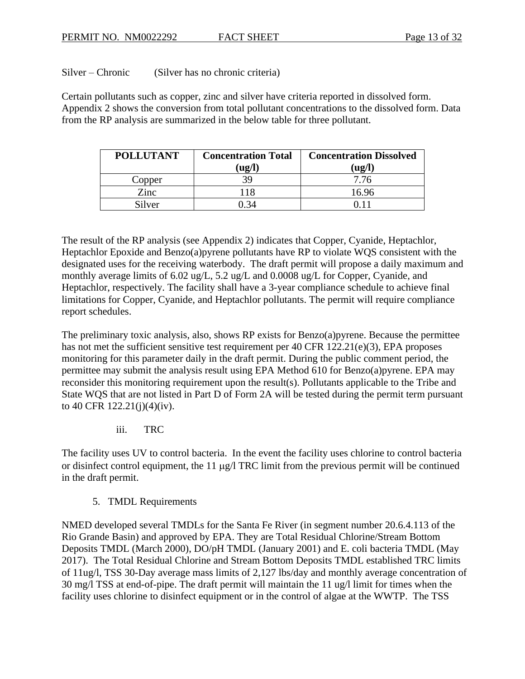Silver – Chronic (Silver has no chronic criteria)

Certain pollutants such as copper, zinc and silver have criteria reported in dissolved form. Appendix 2 shows the conversion from total pollutant concentrations to the dissolved form. Data from the RP analysis are summarized in the below table for three pollutant.

| <b>POLLUTANT</b> | <b>Concentration Total</b>          | <b>Concentration Dissolved</b>      |
|------------------|-------------------------------------|-------------------------------------|
|                  | $(\mathbf{u}\mathbf{g}/\mathbf{l})$ | $(\mathbf{u}\mathbf{g}/\mathbf{l})$ |
| Copper           | 39                                  | 7.76                                |
| Zinc             | 118                                 | 16.96                               |
| Silver           | -34                                 |                                     |

The result of the RP analysis (see Appendix 2) indicates that Copper, Cyanide, Heptachlor, Heptachlor Epoxide and Benzo(a)pyrene pollutants have RP to violate WQS consistent with the designated uses for the receiving waterbody. The draft permit will propose a daily maximum and monthly average limits of 6.02 ug/L, 5.2 ug/L and 0.0008 ug/L for Copper, Cyanide, and Heptachlor, respectively. The facility shall have a 3-year compliance schedule to achieve final limitations for Copper, Cyanide, and Heptachlor pollutants. The permit will require compliance report schedules.

The preliminary toxic analysis, also, shows RP exists for Benzo(a)pyrene. Because the permittee has not met the sufficient sensitive test requirement per 40 CFR 122.21(e)(3), EPA proposes monitoring for this parameter daily in the draft permit. During the public comment period, the permittee may submit the analysis result using EPA Method 610 for Benzo(a)pyrene. EPA may reconsider this monitoring requirement upon the result(s). Pollutants applicable to the Tribe and State WQS that are not listed in Part D of Form 2A will be tested during the permit term pursuant to 40 CFR 122.21(j)(4)(iv).

iii. TRC

The facility uses UV to control bacteria. In the event the facility uses chlorine to control bacteria or disinfect control equipment, the 11  $\mu$ g/l TRC limit from the previous permit will be continued in the draft permit.

5. TMDL Requirements

NMED developed several TMDLs for the Santa Fe River (in segment number 20.6.4.113 of the Rio Grande Basin) and approved by EPA. They are Total Residual Chlorine/Stream Bottom Deposits TMDL (March 2000), DO/pH TMDL (January 2001) and E. coli bacteria TMDL (May 2017). The Total Residual Chlorine and Stream Bottom Deposits TMDL established TRC limits of 11ug/l, TSS 30-Day average mass limits of 2,127 lbs/day and monthly average concentration of 30 mg/l TSS at end-of-pipe. The draft permit will maintain the 11 ug/l limit for times when the facility uses chlorine to disinfect equipment or in the control of algae at the WWTP. The TSS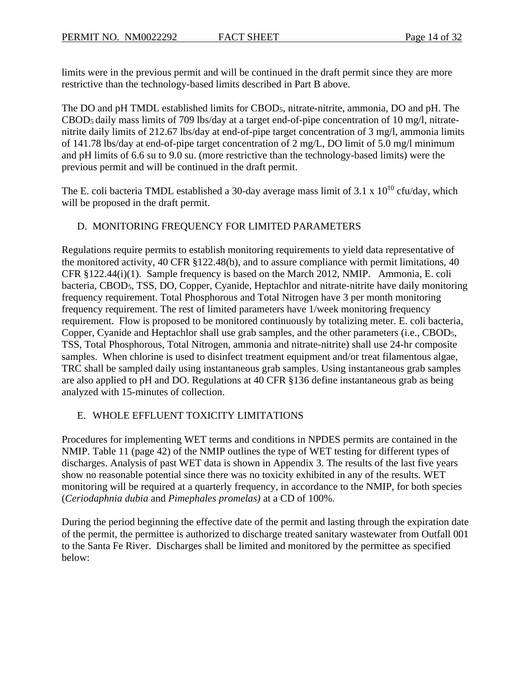limits were in the previous permit and will be continued in the draft permit since they are more restrictive than the technology-based limits described in Part B above.

The DO and pH TMDL established limits for CBOD5, nitrate-nitrite, ammonia, DO and pH. The CBOD<sup>5</sup> daily mass limits of 709 lbs/day at a target end-of-pipe concentration of 10 mg/l, nitratenitrite daily limits of 212.67 lbs/day at end-of-pipe target concentration of 3 mg/l, ammonia limits of 141.78 lbs/day at end-of-pipe target concentration of 2 mg/L, DO limit of 5.0 mg/l minimum and pH limits of 6.6 su to 9.0 su. (more restrictive than the technology-based limits) were the previous permit and will be continued in the draft permit.

The E. coli bacteria TMDL established a 30-day average mass limit of  $3.1 \times 10^{10}$  cfu/day, which will be proposed in the draft permit.

# D. MONITORING FREQUENCY FOR LIMITED PARAMETERS

Regulations require permits to establish monitoring requirements to yield data representative of the monitored activity, 40 CFR §122.48(b), and to assure compliance with permit limitations, 40 CFR §122.44(i)(1). Sample frequency is based on the March 2012, NMIP. Ammonia, E. coli bacteria, CBOD5, TSS, DO, Copper, Cyanide, Heptachlor and nitrate-nitrite have daily monitoring frequency requirement. Total Phosphorous and Total Nitrogen have 3 per month monitoring frequency requirement. The rest of limited parameters have 1/week monitoring frequency requirement. Flow is proposed to be monitored continuously by totalizing meter. E. coli bacteria, Copper, Cyanide and Heptachlor shall use grab samples, and the other parameters (i.e., CBOD5, TSS, Total Phosphorous, Total Nitrogen, ammonia and nitrate-nitrite) shall use 24-hr composite samples. When chlorine is used to disinfect treatment equipment and/or treat filamentous algae, TRC shall be sampled daily using instantaneous grab samples. Using instantaneous grab samples are also applied to pH and DO. Regulations at 40 CFR §136 define instantaneous grab as being analyzed with 15-minutes of collection.

### E. WHOLE EFFLUENT TOXICITY LIMITATIONS

Procedures for implementing WET terms and conditions in NPDES permits are contained in the NMIP. Table 11 (page 42) of the NMIP outlines the type of WET testing for different types of discharges. Analysis of past WET data is shown in Appendix 3. The results of the last five years show no reasonable potential since there was no toxicity exhibited in any of the results. WET monitoring will be required at a quarterly frequency, in accordance to the NMIP, for both species (*Ceriodaphnia dubia* and *Pimephales promelas)* at a CD of 100%.

During the period beginning the effective date of the permit and lasting through the expiration date of the permit, the permittee is authorized to discharge treated sanitary wastewater from Outfall 001 to the Santa Fe River. Discharges shall be limited and monitored by the permittee as specified below: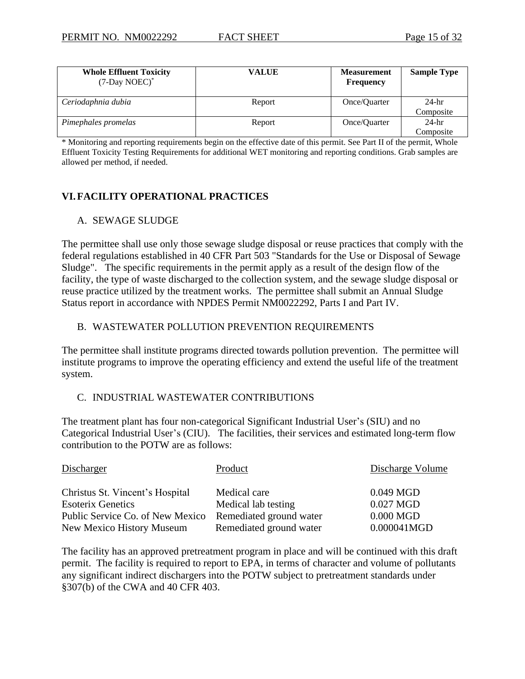| <b>Whole Effluent Toxicity</b><br>(7-Day NOEC)* | <b>VALUE</b> | <b>Measurement</b><br><b>Frequency</b> | <b>Sample Type</b> |
|-------------------------------------------------|--------------|----------------------------------------|--------------------|
| Ceriodaphnia dubia                              | Report       | Once/Quarter                           | $24-hr$            |
|                                                 |              |                                        | Composite          |
| Pimephales promelas                             | Report       | Once/Quarter                           | $24-hr$            |
|                                                 |              |                                        | Composite          |

\* Monitoring and reporting requirements begin on the effective date of this permit. See Part II of the permit, Whole Effluent Toxicity Testing Requirements for additional WET monitoring and reporting conditions. Grab samples are allowed per method, if needed.

# **VI.FACILITY OPERATIONAL PRACTICES**

#### A. SEWAGE SLUDGE

The permittee shall use only those sewage sludge disposal or reuse practices that comply with the federal regulations established in 40 CFR Part 503 "Standards for the Use or Disposal of Sewage Sludge". The specific requirements in the permit apply as a result of the design flow of the facility, the type of waste discharged to the collection system, and the sewage sludge disposal or reuse practice utilized by the treatment works. The permittee shall submit an Annual Sludge Status report in accordance with NPDES Permit NM0022292, Parts I and Part IV.

#### B. WASTEWATER POLLUTION PREVENTION REQUIREMENTS

The permittee shall institute programs directed towards pollution prevention. The permittee will institute programs to improve the operating efficiency and extend the useful life of the treatment system.

#### C. INDUSTRIAL WASTEWATER CONTRIBUTIONS

The treatment plant has four non-categorical Significant Industrial User's (SIU) and no Categorical Industrial User's (CIU). The facilities, their services and estimated long-term flow contribution to the POTW are as follows:

| Discharger                       | Product                 | Discharge Volume |
|----------------------------------|-------------------------|------------------|
| Christus St. Vincent's Hospital  | Medical care            | $0.049$ MGD      |
| <b>Esoterix Genetics</b>         | Medical lab testing     | 0.027 MGD        |
| Public Service Co. of New Mexico | Remediated ground water | $0.000$ MGD      |
| New Mexico History Museum        | Remediated ground water | 0.000041MGD      |

The facility has an approved pretreatment program in place and will be continued with this draft permit. The facility is required to report to EPA, in terms of character and volume of pollutants any significant indirect dischargers into the POTW subject to pretreatment standards under §307(b) of the CWA and 40 CFR 403.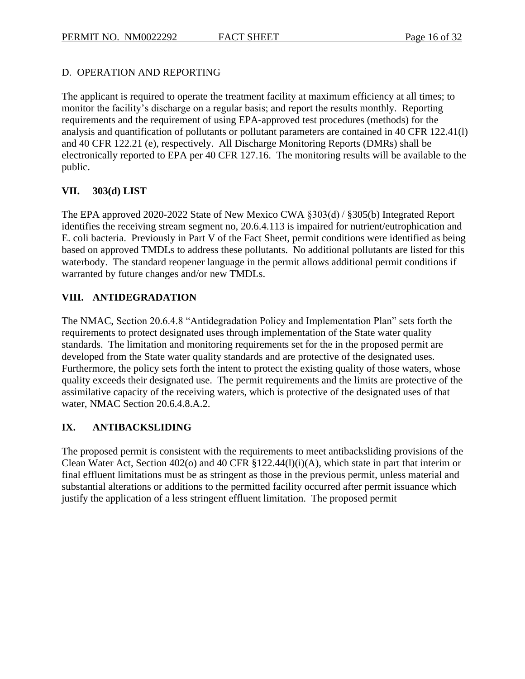# D. OPERATION AND REPORTING

The applicant is required to operate the treatment facility at maximum efficiency at all times; to monitor the facility's discharge on a regular basis; and report the results monthly. Reporting requirements and the requirement of using EPA-approved test procedures (methods) for the analysis and quantification of pollutants or pollutant parameters are contained in 40 CFR 122.41(l) and 40 CFR 122.21 (e), respectively. All Discharge Monitoring Reports (DMRs) shall be electronically reported to EPA per 40 CFR 127.16. The monitoring results will be available to the public.

### **VII. 303(d) LIST**

The EPA approved 2020-2022 State of New Mexico CWA §303(d) / §305(b) Integrated Report identifies the receiving stream segment no, 20.6.4.113 is impaired for nutrient/eutrophication and E. coli bacteria. Previously in Part V of the Fact Sheet, permit conditions were identified as being based on approved TMDLs to address these pollutants. No additional pollutants are listed for this waterbody. The standard reopener language in the permit allows additional permit conditions if warranted by future changes and/or new TMDLs.

# **VIII. ANTIDEGRADATION**

The NMAC, Section 20.6.4.8 "Antidegradation Policy and Implementation Plan" sets forth the requirements to protect designated uses through implementation of the State water quality standards. The limitation and monitoring requirements set for the in the proposed permit are developed from the State water quality standards and are protective of the designated uses. Furthermore, the policy sets forth the intent to protect the existing quality of those waters, whose quality exceeds their designated use. The permit requirements and the limits are protective of the assimilative capacity of the receiving waters, which is protective of the designated uses of that water, NMAC Section 20.6.4.8.A.2.

# **IX. ANTIBACKSLIDING**

The proposed permit is consistent with the requirements to meet antibacksliding provisions of the Clean Water Act, Section 402(o) and 40 CFR §122.44(l)(i)(A), which state in part that interim or final effluent limitations must be as stringent as those in the previous permit, unless material and substantial alterations or additions to the permitted facility occurred after permit issuance which justify the application of a less stringent effluent limitation. The proposed permit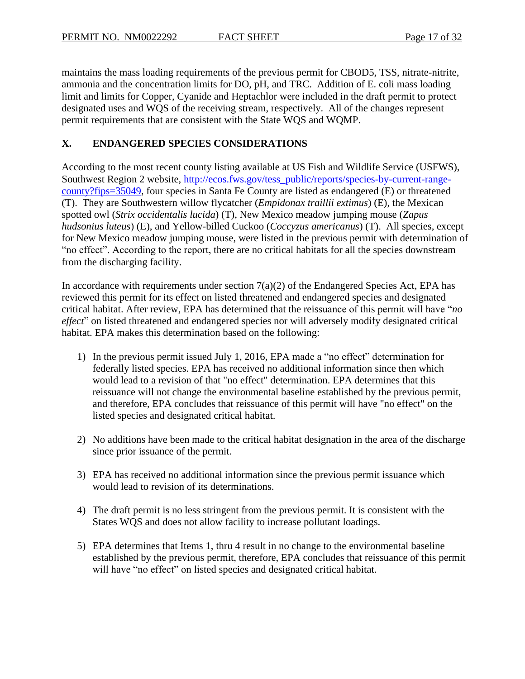maintains the mass loading requirements of the previous permit for CBOD5, TSS, nitrate-nitrite, ammonia and the concentration limits for DO, pH, and TRC. Addition of E. coli mass loading limit and limits for Copper, Cyanide and Heptachlor were included in the draft permit to protect designated uses and WQS of the receiving stream, respectively. All of the changes represent permit requirements that are consistent with the State WQS and WQMP.

# **X. ENDANGERED SPECIES CONSIDERATIONS**

According to the most recent county listing available at US Fish and Wildlife Service (USFWS), Southwest Region 2 website, [http://ecos.fws.gov/tess\\_public/reports/species-by-current-range](http://ecos.fws.gov/tess_public/reports/species-by-current-range-county?fips=35049)[county?fips=35049,](http://ecos.fws.gov/tess_public/reports/species-by-current-range-county?fips=35049) four species in Santa Fe County are listed as endangered (E) or threatened (T). They are Southwestern willow flycatcher (*Empidonax traillii extimus*) (E), the Mexican spotted owl (*Strix occidentalis lucida*) (T), New Mexico meadow jumping mouse (*Zapus hudsonius luteus*) (E), and Yellow-billed Cuckoo (*Coccyzus americanus*) (T). All species, except for New Mexico meadow jumping mouse, were listed in the previous permit with determination of "no effect". According to the report, there are no critical habitats for all the species downstream from the discharging facility.

In accordance with requirements under section  $7(a)(2)$  of the Endangered Species Act, EPA has reviewed this permit for its effect on listed threatened and endangered species and designated critical habitat. After review, EPA has determined that the reissuance of this permit will have "*no effect*" on listed threatened and endangered species nor will adversely modify designated critical habitat. EPA makes this determination based on the following:

- 1) In the previous permit issued July 1, 2016, EPA made a "no effect" determination for federally listed species. EPA has received no additional information since then which would lead to a revision of that "no effect" determination. EPA determines that this reissuance will not change the environmental baseline established by the previous permit, and therefore, EPA concludes that reissuance of this permit will have "no effect" on the listed species and designated critical habitat.
- 2) No additions have been made to the critical habitat designation in the area of the discharge since prior issuance of the permit.
- 3) EPA has received no additional information since the previous permit issuance which would lead to revision of its determinations.
- 4) The draft permit is no less stringent from the previous permit. It is consistent with the States WQS and does not allow facility to increase pollutant loadings.
- 5) EPA determines that Items 1, thru 4 result in no change to the environmental baseline established by the previous permit, therefore, EPA concludes that reissuance of this permit will have "no effect" on listed species and designated critical habitat.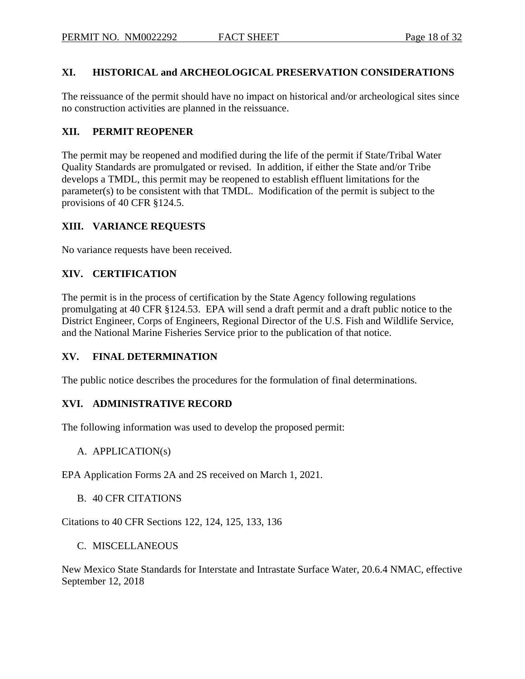#### **XI. HISTORICAL and ARCHEOLOGICAL PRESERVATION CONSIDERATIONS**

The reissuance of the permit should have no impact on historical and/or archeological sites since no construction activities are planned in the reissuance.

#### **XII. PERMIT REOPENER**

The permit may be reopened and modified during the life of the permit if State/Tribal Water Quality Standards are promulgated or revised. In addition, if either the State and/or Tribe develops a TMDL, this permit may be reopened to establish effluent limitations for the parameter(s) to be consistent with that TMDL. Modification of the permit is subject to the provisions of 40 CFR §124.5.

#### **XIII. VARIANCE REQUESTS**

No variance requests have been received.

#### **XIV. CERTIFICATION**

The permit is in the process of certification by the State Agency following regulations promulgating at 40 CFR §124.53. EPA will send a draft permit and a draft public notice to the District Engineer, Corps of Engineers, Regional Director of the U.S. Fish and Wildlife Service, and the National Marine Fisheries Service prior to the publication of that notice.

#### **XV. FINAL DETERMINATION**

The public notice describes the procedures for the formulation of final determinations.

#### **XVI. ADMINISTRATIVE RECORD**

The following information was used to develop the proposed permit:

#### A. APPLICATION(s)

EPA Application Forms 2A and 2S received on March 1, 2021.

#### B. 40 CFR CITATIONS

Citations to 40 CFR Sections 122, 124, 125, 133, 136

#### C. MISCELLANEOUS

New Mexico State Standards for Interstate and Intrastate Surface Water, 20.6.4 NMAC, effective September 12, 2018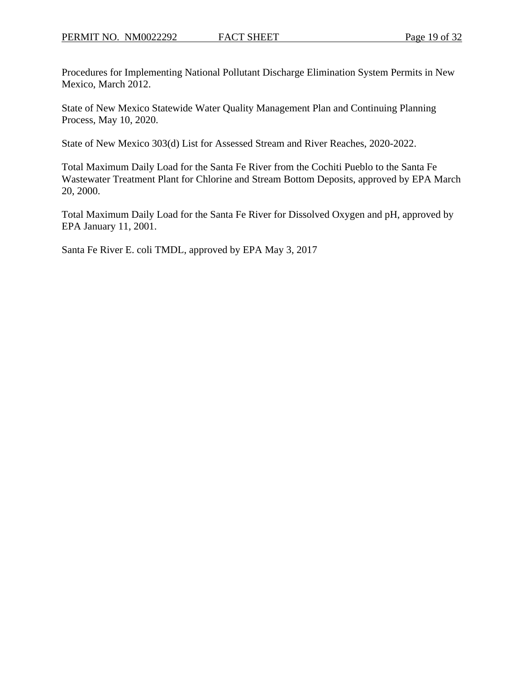Procedures for Implementing National Pollutant Discharge Elimination System Permits in New Mexico, March 2012.

State of New Mexico Statewide Water Quality Management Plan and Continuing Planning Process, May 10, 2020.

State of New Mexico 303(d) List for Assessed Stream and River Reaches, 2020-2022.

Total Maximum Daily Load for the Santa Fe River from the Cochiti Pueblo to the Santa Fe Wastewater Treatment Plant for Chlorine and Stream Bottom Deposits, approved by EPA March 20, 2000.

Total Maximum Daily Load for the Santa Fe River for Dissolved Oxygen and pH, approved by EPA January 11, 2001.

Santa Fe River E. coli TMDL, approved by EPA May 3, 2017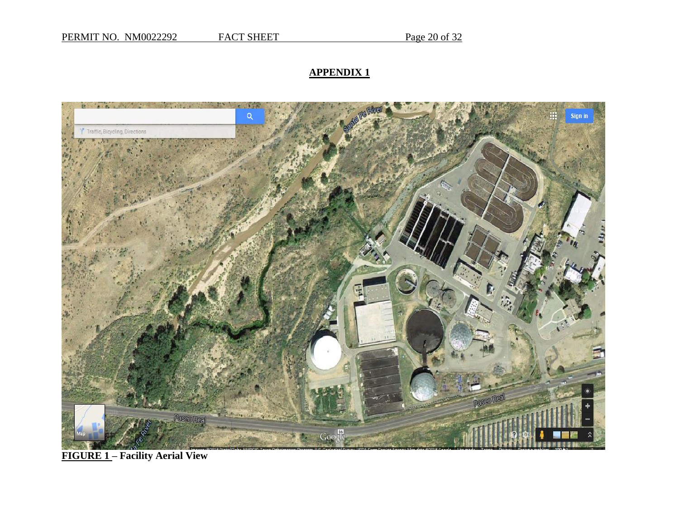# **APPENDIX 1**



**FIGURE 1 – Facility Aerial View**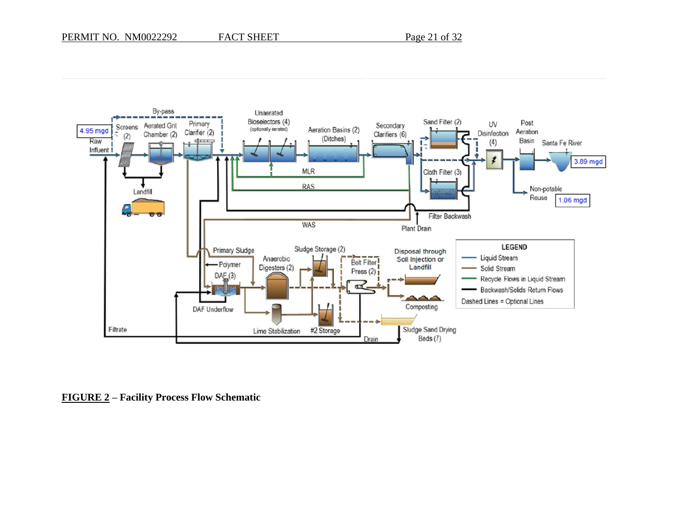

**FIGURE 2 – Facility Process Flow Schematic**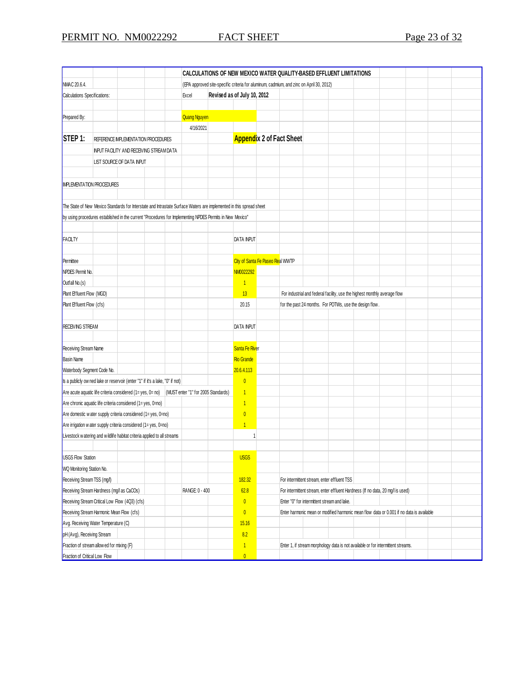|                                                                                                                     |  |                                          |                         | CALCULATIONS OF NEW MEXICO WATER QUALITY-BASED EFFLUENT LIMITATIONS                     |                             |                                             |  |                                                                           |                                                                                          |                                                                                |  |                                                                                  |  |  |  |
|---------------------------------------------------------------------------------------------------------------------|--|------------------------------------------|-------------------------|-----------------------------------------------------------------------------------------|-----------------------------|---------------------------------------------|--|---------------------------------------------------------------------------|------------------------------------------------------------------------------------------|--------------------------------------------------------------------------------|--|----------------------------------------------------------------------------------|--|--|--|
| NMAC 20.6.4.                                                                                                        |  |                                          |                         | (EPA approved site-specific criteria for aluminum, cadmium, and zinc on April 30, 2012) |                             |                                             |  |                                                                           |                                                                                          |                                                                                |  |                                                                                  |  |  |  |
| Calculations Specifications:                                                                                        |  |                                          |                         | Excel                                                                                   | Revised as of July 10, 2012 |                                             |  |                                                                           |                                                                                          |                                                                                |  |                                                                                  |  |  |  |
|                                                                                                                     |  |                                          |                         |                                                                                         |                             |                                             |  |                                                                           |                                                                                          |                                                                                |  |                                                                                  |  |  |  |
| Prepared By:                                                                                                        |  |                                          |                         | Quang Nguyen                                                                            |                             |                                             |  |                                                                           |                                                                                          |                                                                                |  |                                                                                  |  |  |  |
|                                                                                                                     |  |                                          |                         | 4/16/2021                                                                               |                             |                                             |  |                                                                           |                                                                                          |                                                                                |  |                                                                                  |  |  |  |
| STEP 1:                                                                                                             |  | REFERENCE IMPLEMENTATION PROCEDURES      |                         |                                                                                         |                             |                                             |  | <b>Appendix 2 of Fact Sheet</b>                                           |                                                                                          |                                                                                |  |                                                                                  |  |  |  |
|                                                                                                                     |  | INPUT FACILITY AND RECEIVING STREAM DATA |                         |                                                                                         |                             |                                             |  |                                                                           |                                                                                          |                                                                                |  |                                                                                  |  |  |  |
|                                                                                                                     |  | LIST SOURCE OF DATA INPUT                |                         |                                                                                         |                             |                                             |  |                                                                           |                                                                                          |                                                                                |  |                                                                                  |  |  |  |
|                                                                                                                     |  |                                          |                         |                                                                                         |                             |                                             |  |                                                                           |                                                                                          |                                                                                |  |                                                                                  |  |  |  |
| <b>IMPLEMENTATION PROCEDURES</b>                                                                                    |  |                                          |                         |                                                                                         |                             |                                             |  |                                                                           |                                                                                          |                                                                                |  |                                                                                  |  |  |  |
|                                                                                                                     |  |                                          |                         |                                                                                         |                             |                                             |  |                                                                           |                                                                                          |                                                                                |  |                                                                                  |  |  |  |
| The State of New Mexico Standards for Interstate and Intrastate Surface Waters are implemented in this spread sheet |  |                                          |                         |                                                                                         |                             |                                             |  |                                                                           |                                                                                          |                                                                                |  |                                                                                  |  |  |  |
| by using procedures established in the current "Procedures for Implementing NPDES Permits in New Mexico"            |  |                                          |                         |                                                                                         |                             |                                             |  |                                                                           |                                                                                          |                                                                                |  |                                                                                  |  |  |  |
|                                                                                                                     |  |                                          |                         |                                                                                         |                             |                                             |  |                                                                           |                                                                                          |                                                                                |  |                                                                                  |  |  |  |
| FACILTY                                                                                                             |  |                                          |                         |                                                                                         |                             | <b>DATA INPUT</b>                           |  |                                                                           |                                                                                          |                                                                                |  |                                                                                  |  |  |  |
|                                                                                                                     |  |                                          |                         |                                                                                         |                             |                                             |  |                                                                           |                                                                                          |                                                                                |  |                                                                                  |  |  |  |
| Permittee                                                                                                           |  |                                          |                         |                                                                                         |                             | City of Santa Fe Paseo Real WWTP            |  |                                                                           |                                                                                          |                                                                                |  |                                                                                  |  |  |  |
| NPDES Permit No.                                                                                                    |  |                                          |                         |                                                                                         |                             | NM0022292                                   |  |                                                                           |                                                                                          |                                                                                |  |                                                                                  |  |  |  |
| Outfall No.(s)                                                                                                      |  |                                          |                         |                                                                                         |                             | $\overline{1}$                              |  |                                                                           |                                                                                          |                                                                                |  |                                                                                  |  |  |  |
| Plant Effluent Flow (MGD)                                                                                           |  |                                          |                         |                                                                                         |                             | 13                                          |  | For industrial and federal facility, use the highest monthly average flow |                                                                                          |                                                                                |  |                                                                                  |  |  |  |
| Plant Effluent Flow (cfs)                                                                                           |  |                                          |                         |                                                                                         |                             | 20.15                                       |  |                                                                           | for the past 24 months. For POTWs, use the design flow.                                  |                                                                                |  |                                                                                  |  |  |  |
|                                                                                                                     |  |                                          |                         |                                                                                         |                             |                                             |  |                                                                           |                                                                                          |                                                                                |  |                                                                                  |  |  |  |
| <b>RECEIVING STREAM</b>                                                                                             |  |                                          |                         |                                                                                         |                             | <b>DATA INPUT</b>                           |  |                                                                           |                                                                                          |                                                                                |  |                                                                                  |  |  |  |
|                                                                                                                     |  |                                          |                         |                                                                                         |                             |                                             |  |                                                                           |                                                                                          |                                                                                |  |                                                                                  |  |  |  |
| Receiving Stream Name                                                                                               |  |                                          |                         |                                                                                         |                             | Santa Fe River                              |  |                                                                           |                                                                                          |                                                                                |  |                                                                                  |  |  |  |
| <b>Basin Name</b>                                                                                                   |  |                                          |                         |                                                                                         |                             | <b>Rio Grande</b>                           |  |                                                                           |                                                                                          |                                                                                |  |                                                                                  |  |  |  |
| Waterbody Segment Code No.                                                                                          |  |                                          |                         |                                                                                         |                             | 20.6.4.113                                  |  |                                                                           |                                                                                          |                                                                                |  |                                                                                  |  |  |  |
| Is a publicly ow ned lake or reservoir (enter "1" if it's a lake, "0" if not)                                       |  |                                          |                         |                                                                                         |                             | $\overline{0}$                              |  |                                                                           |                                                                                          |                                                                                |  |                                                                                  |  |  |  |
| Are acute aquatic life criteria considered $(1 = yes, 0 = no)$                                                      |  |                                          |                         | (MUST enter "1" for 2005 Standards)                                                     |                             | $\mathbf{1}$                                |  |                                                                           |                                                                                          |                                                                                |  |                                                                                  |  |  |  |
| Are chronic aquatic life criteria considered (1= yes, 0=no)                                                         |  |                                          |                         |                                                                                         |                             | $\mathbf{1}$                                |  |                                                                           |                                                                                          |                                                                                |  |                                                                                  |  |  |  |
| Are domestic w ater supply criteria considered (1= yes, 0=no)                                                       |  |                                          |                         |                                                                                         |                             | $\overline{0}$                              |  |                                                                           |                                                                                          |                                                                                |  |                                                                                  |  |  |  |
| Are irrigation w ater supply criteria considered $(1 = yes, 0 = no)$                                                |  |                                          |                         |                                                                                         |                             | $\overline{1}$                              |  |                                                                           |                                                                                          |                                                                                |  |                                                                                  |  |  |  |
| Livestock w atering and w ildlife habitat criteria applied to all streams                                           |  |                                          |                         |                                                                                         |                             |                                             |  |                                                                           |                                                                                          |                                                                                |  |                                                                                  |  |  |  |
|                                                                                                                     |  |                                          |                         |                                                                                         |                             |                                             |  |                                                                           |                                                                                          |                                                                                |  |                                                                                  |  |  |  |
| <b>USGS Flow Station</b>                                                                                            |  |                                          |                         |                                                                                         |                             | <b>USGS</b>                                 |  |                                                                           |                                                                                          |                                                                                |  |                                                                                  |  |  |  |
| WQ Monitoring Station No.                                                                                           |  |                                          |                         |                                                                                         |                             |                                             |  |                                                                           |                                                                                          |                                                                                |  |                                                                                  |  |  |  |
| Receiving Stream TSS (mg/l)                                                                                         |  |                                          |                         |                                                                                         |                             | 182.32                                      |  |                                                                           | For intermittent stream, enter effluent TSS                                              |                                                                                |  |                                                                                  |  |  |  |
| Receiving Stream Hardness (mg/l as CaCOs)<br>RANGE: 0 - 400                                                         |  |                                          |                         | 62.8                                                                                    |                             |                                             |  |                                                                           |                                                                                          | For intermittent stream, enter effluent Hardness (If no data, 20 mg/l is used) |  |                                                                                  |  |  |  |
| Receiving Stream Critical Low Flow (4Q3) (cfs)                                                                      |  |                                          | $\overline{\mathbf{0}}$ |                                                                                         |                             | Enter "0" for intermittent stream and lake. |  |                                                                           |                                                                                          |                                                                                |  |                                                                                  |  |  |  |
| Receiving Stream Harmonic Mean Flow (cfs)                                                                           |  |                                          | $\overline{\mathbf{0}}$ |                                                                                         |                             |                                             |  |                                                                           | Enter harmonic mean or modified harmonic mean flow data or 0.001 if no data is available |                                                                                |  |                                                                                  |  |  |  |
| Avg. Receiving Water Temperature (C)                                                                                |  |                                          |                         |                                                                                         |                             | 15.16                                       |  |                                                                           |                                                                                          |                                                                                |  |                                                                                  |  |  |  |
| pH (Avg), Receiving Stream                                                                                          |  |                                          |                         |                                                                                         |                             | 8.2                                         |  |                                                                           |                                                                                          |                                                                                |  |                                                                                  |  |  |  |
| Fraction of stream allow ed for mixing (F)                                                                          |  |                                          |                         |                                                                                         |                             | $\mathbf{1}$                                |  |                                                                           |                                                                                          |                                                                                |  | Enter 1, if stream morphology data is not available or for intermittent streams. |  |  |  |
| Fraction of Critical Low Flow                                                                                       |  |                                          |                         |                                                                                         |                             | $\overline{0}$                              |  |                                                                           |                                                                                          |                                                                                |  |                                                                                  |  |  |  |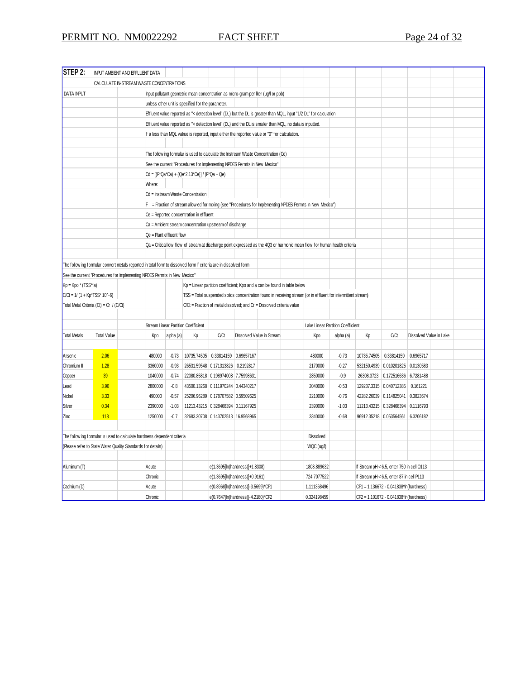| STEP 2:                           |                                         | INPUT AMBIENT AND EFFLUENT DATA                                                                                   |                                                                                                                          |                          |                                                                                                          |                                                                                                               |                           |                                                                       |  |                                                                                                                     |           |    |                                            |                         |  |  |
|-----------------------------------|-----------------------------------------|-------------------------------------------------------------------------------------------------------------------|--------------------------------------------------------------------------------------------------------------------------|--------------------------|----------------------------------------------------------------------------------------------------------|---------------------------------------------------------------------------------------------------------------|---------------------------|-----------------------------------------------------------------------|--|---------------------------------------------------------------------------------------------------------------------|-----------|----|--------------------------------------------|-------------------------|--|--|
|                                   |                                         | CALCULATE IN-STREAM WASTE CONCENTRATIONS                                                                          |                                                                                                                          |                          |                                                                                                          |                                                                                                               |                           |                                                                       |  |                                                                                                                     |           |    |                                            |                         |  |  |
| <b>DATA INPUT</b>                 |                                         |                                                                                                                   |                                                                                                                          |                          | Input pollutant geometric mean concentration as micro-gram per liter (ug/l or ppb)                       |                                                                                                               |                           |                                                                       |  |                                                                                                                     |           |    |                                            |                         |  |  |
|                                   |                                         |                                                                                                                   |                                                                                                                          |                          | unless other unit is specified for the parameter.                                                        |                                                                                                               |                           |                                                                       |  |                                                                                                                     |           |    |                                            |                         |  |  |
|                                   |                                         |                                                                                                                   |                                                                                                                          |                          |                                                                                                          |                                                                                                               |                           |                                                                       |  | Effluent value reported as "< detection level" (DL) but the DL is greater than MQL, input "1/2 DL" for calculation. |           |    |                                            |                         |  |  |
|                                   |                                         |                                                                                                                   |                                                                                                                          |                          | Effluent value reported as "< detection level" (DL) and the DL is smaller than MQL, no data is inputted. |                                                                                                               |                           |                                                                       |  |                                                                                                                     |           |    |                                            |                         |  |  |
|                                   |                                         |                                                                                                                   |                                                                                                                          |                          | If a less than MQL vakue is reported, input either the reported value or "0" for calculation.            |                                                                                                               |                           |                                                                       |  |                                                                                                                     |           |    |                                            |                         |  |  |
|                                   |                                         |                                                                                                                   |                                                                                                                          |                          |                                                                                                          |                                                                                                               |                           |                                                                       |  |                                                                                                                     |           |    |                                            |                         |  |  |
|                                   |                                         |                                                                                                                   |                                                                                                                          |                          | The follow ing formular is used to calculate the Instream Waste Concentration (Cd)                       |                                                                                                               |                           |                                                                       |  |                                                                                                                     |           |    |                                            |                         |  |  |
|                                   |                                         |                                                                                                                   |                                                                                                                          |                          | See the current "Procedures for Implementing NPDES Permits in New Mexico"                                |                                                                                                               |                           |                                                                       |  |                                                                                                                     |           |    |                                            |                         |  |  |
|                                   |                                         |                                                                                                                   |                                                                                                                          |                          | Cd = [(F*Qa*Ca) + (Qe*2.13*Ce)] / (F*Qa + Qe)                                                            |                                                                                                               |                           |                                                                       |  |                                                                                                                     |           |    |                                            |                         |  |  |
|                                   |                                         |                                                                                                                   | Where:                                                                                                                   |                          |                                                                                                          |                                                                                                               |                           |                                                                       |  |                                                                                                                     |           |    |                                            |                         |  |  |
|                                   |                                         |                                                                                                                   |                                                                                                                          |                          | Cd = Instream Waste Concentration                                                                        |                                                                                                               |                           |                                                                       |  |                                                                                                                     |           |    |                                            |                         |  |  |
|                                   |                                         |                                                                                                                   |                                                                                                                          |                          |                                                                                                          |                                                                                                               |                           |                                                                       |  | F = Fraction of stream allow ed for mixing (see "Procedures for Implementing NPDES Permits in New Mexico")          |           |    |                                            |                         |  |  |
|                                   |                                         |                                                                                                                   |                                                                                                                          |                          | Ce = Reported concentration in effluent                                                                  |                                                                                                               |                           |                                                                       |  |                                                                                                                     |           |    |                                            |                         |  |  |
|                                   |                                         |                                                                                                                   |                                                                                                                          |                          | Ca = Ambient stream concentration upstream of discharge                                                  |                                                                                                               |                           |                                                                       |  |                                                                                                                     |           |    |                                            |                         |  |  |
|                                   |                                         |                                                                                                                   |                                                                                                                          | Qe = Plant effluent flow |                                                                                                          |                                                                                                               |                           |                                                                       |  |                                                                                                                     |           |    |                                            |                         |  |  |
|                                   |                                         |                                                                                                                   | Qa = Critical low flow of stream at discharge point expressed as the 4Q3 or harmonic mean flow for human health criteria |                          |                                                                                                          |                                                                                                               |                           |                                                                       |  |                                                                                                                     |           |    |                                            |                         |  |  |
|                                   |                                         |                                                                                                                   |                                                                                                                          |                          |                                                                                                          |                                                                                                               |                           |                                                                       |  |                                                                                                                     |           |    |                                            |                         |  |  |
|                                   |                                         | The follow ing formular convert metals reported in total form to dissolved form if criteria are in dissolved form |                                                                                                                          |                          |                                                                                                          |                                                                                                               |                           |                                                                       |  |                                                                                                                     |           |    |                                            |                         |  |  |
|                                   |                                         | See the current "Procedures for Implementing NPDES Permits in New Mexico"                                         |                                                                                                                          |                          |                                                                                                          |                                                                                                               |                           |                                                                       |  |                                                                                                                     |           |    |                                            |                         |  |  |
| $Kp = Kpo * (TSS**a)$             |                                         |                                                                                                                   |                                                                                                                          |                          |                                                                                                          | Kp = Linear partition coefficient; Kpo and a can be found in table below                                      |                           |                                                                       |  |                                                                                                                     |           |    |                                            |                         |  |  |
| $C/Ct = 1/(1 + Kp*TSS*10^{(-6)})$ |                                         |                                                                                                                   |                                                                                                                          |                          |                                                                                                          | TSS = Total suspended solids concentration found in receiving stream (or in effluent for intermittent stream) |                           |                                                                       |  |                                                                                                                     |           |    |                                            |                         |  |  |
|                                   | Total Metal Criteria (Ct) = Cr / (C/Ct) |                                                                                                                   |                                                                                                                          |                          |                                                                                                          |                                                                                                               |                           | C/Ct = Fraction of metal dissolved; and Cr = Dissolved criteria value |  |                                                                                                                     |           |    |                                            |                         |  |  |
|                                   |                                         |                                                                                                                   |                                                                                                                          |                          |                                                                                                          |                                                                                                               |                           |                                                                       |  |                                                                                                                     |           |    |                                            |                         |  |  |
|                                   |                                         |                                                                                                                   |                                                                                                                          |                          | <b>Stream Linear Partition Coefficient</b>                                                               |                                                                                                               |                           |                                                                       |  | Lake Linear Partition Coefficient                                                                                   |           |    |                                            |                         |  |  |
| <b>Total Metals</b>               | <b>Total Value</b>                      |                                                                                                                   | Kpo                                                                                                                      | alpha (a)                | Кp                                                                                                       | C/Ct                                                                                                          | Dissolved Value in Stream |                                                                       |  | Kpo                                                                                                                 | alpha (a) | Кp | C/Ct                                       | Dissolved Value in Lake |  |  |
|                                   |                                         |                                                                                                                   |                                                                                                                          |                          |                                                                                                          |                                                                                                               |                           |                                                                       |  |                                                                                                                     |           |    |                                            |                         |  |  |
| Arsenic                           | 2.06                                    |                                                                                                                   | 480000                                                                                                                   | $-0.73$                  |                                                                                                          | 10735.74505  0.33814159  0.69657167                                                                           |                           |                                                                       |  | 480000                                                                                                              | $-0.73$   |    | 10735.74505 0.33814159                     | 0.6965717               |  |  |
| Chromium III                      | 1.28                                    |                                                                                                                   | 3360000                                                                                                                  | $-0.93$                  |                                                                                                          | 26531.59548 0.171313826 0.2192817                                                                             |                           |                                                                       |  | 2170000                                                                                                             | $-0.27$   |    | 532150.4939 0.010201825 0.0130583          |                         |  |  |
| Copper                            | 39                                      |                                                                                                                   | 1040000                                                                                                                  | $-0.74$                  |                                                                                                          | 22080.85818 0.198974008 7.75998631                                                                            |                           |                                                                       |  | 2850000                                                                                                             | $-0.9$    |    | 26308.3723 0.172516636 6.7281488           |                         |  |  |
| Lead                              | 3.96                                    |                                                                                                                   | 2800000                                                                                                                  | $-0.8$                   |                                                                                                          | 43500.13268 0.111970244 0.44340217                                                                            |                           |                                                                       |  | 2040000                                                                                                             | $-0.53$   |    | 129237.3315 0.040712385                    | 0.161221                |  |  |
| Nickel                            | 3.33                                    |                                                                                                                   | 490000                                                                                                                   | $-0.57$                  |                                                                                                          | 25206.96289 0.178707582 0.59509625                                                                            |                           |                                                                       |  | 2210000                                                                                                             | $-0.76$   |    | 42282.26039 0.114825041                    | 0.3823674               |  |  |
| Silver                            | 0.34                                    |                                                                                                                   | 2390000                                                                                                                  | $-1.03$                  |                                                                                                          | 11213.43215 0.328468394 0.11167925                                                                            |                           |                                                                       |  | 2390000                                                                                                             | $-1.03$   |    | 11213.43215 0.328468394                    | 0.1116793               |  |  |
| Zinc                              | 118                                     |                                                                                                                   | 1250000                                                                                                                  | $-0.7$                   |                                                                                                          | 32683.30708 0.143702513 16.9568965                                                                            |                           |                                                                       |  | 3340000                                                                                                             | $-0.68$   |    | 96912.35218 0.053564561                    | 6.3206182               |  |  |
|                                   |                                         |                                                                                                                   |                                                                                                                          |                          |                                                                                                          |                                                                                                               |                           |                                                                       |  |                                                                                                                     |           |    |                                            |                         |  |  |
|                                   |                                         | The follow ing formular is used to calculate hardness dependent criteria                                          |                                                                                                                          |                          |                                                                                                          |                                                                                                               |                           |                                                                       |  | Dissolved                                                                                                           |           |    |                                            |                         |  |  |
|                                   |                                         | (Please refer to State Water Quality Standards for details)                                                       |                                                                                                                          |                          |                                                                                                          |                                                                                                               |                           |                                                                       |  | WQC (ug/l)                                                                                                          |           |    |                                            |                         |  |  |
|                                   |                                         |                                                                                                                   |                                                                                                                          |                          |                                                                                                          |                                                                                                               |                           |                                                                       |  |                                                                                                                     |           |    |                                            |                         |  |  |
| Aluminum (T)                      |                                         | Acute                                                                                                             |                                                                                                                          |                          |                                                                                                          | e(1.3695[ln(hardness)]+1.8308)                                                                                |                           |                                                                       |  | 1808.889632                                                                                                         |           |    | If Stream pH < 6.5, enter 750 in cell O113 |                         |  |  |
|                                   |                                         |                                                                                                                   | Chronic                                                                                                                  |                          |                                                                                                          | e(1.3695[ln(hardness)]+0.9161)                                                                                |                           |                                                                       |  | 724.7077522                                                                                                         |           |    | If Stream pH < 6.5, enter 87 in cell P113  |                         |  |  |
| Cadmium (D)                       |                                         | Acute                                                                                                             |                                                                                                                          |                          |                                                                                                          | e(0.8968[ln(hardness)]-3.5699)*CF1                                                                            |                           |                                                                       |  | 1.111368496                                                                                                         |           |    | CF1 = 1.136672 - 0.041838*In(hardness)     |                         |  |  |
|                                   |                                         |                                                                                                                   | Chronic                                                                                                                  |                          |                                                                                                          | e(0.7647[ln(hardness)]-4.2180)*CF2                                                                            |                           |                                                                       |  | 0.324198459                                                                                                         |           |    | CF2 = 1.101672 - 0.041838*In(hardness)     |                         |  |  |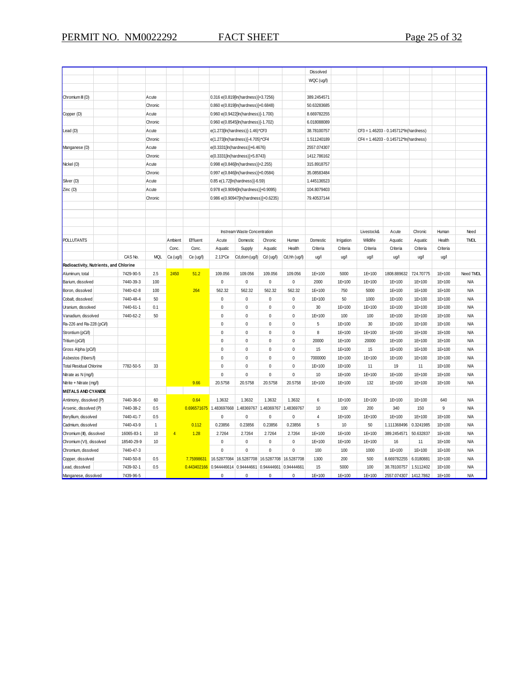|                                          |                        |                       |                |           |                                       |                              |                       |                         | Dissolved           |              |              |                                       |                     |                  |                          |
|------------------------------------------|------------------------|-----------------------|----------------|-----------|---------------------------------------|------------------------------|-----------------------|-------------------------|---------------------|--------------|--------------|---------------------------------------|---------------------|------------------|--------------------------|
|                                          |                        |                       |                |           |                                       |                              |                       |                         | WQC (ug/l)          |              |              |                                       |                     |                  |                          |
|                                          |                        |                       |                |           |                                       |                              |                       |                         |                     |              |              |                                       |                     |                  |                          |
| Chromium III (D)                         |                        | Acute                 |                |           | 0.316 e(0.819[ln(hardness)]+3.7256)   |                              |                       |                         | 389.2454571         |              |              |                                       |                     |                  |                          |
|                                          |                        | Chronic               |                |           | 0.860 e(0.819[ln(hardness)]+0.6848)   |                              |                       |                         | 50.63283685         |              |              |                                       |                     |                  |                          |
| Copper (D)                               |                        | Acute                 |                |           | 0.960 e(0.9422[ln(hardness)]-1.700)   |                              |                       |                         | 8.669782255         |              |              |                                       |                     |                  |                          |
|                                          |                        | Chronic               |                |           | 0.960 e(0.8545[ln(hardness)]-1.702)   |                              |                       |                         | 6.018088089         |              |              |                                       |                     |                  |                          |
| Lead (D)                                 |                        | Acute                 |                |           | e(1.273[ln(hardness)]-1.46)*CF3       |                              |                       |                         | 38.78100757         |              |              | CF3 = 1.46203 - 0.145712*ln(hardness) |                     |                  |                          |
|                                          |                        | Chronic               |                |           | e(1.273[ln(hardness)]-4.705)*CF4      |                              |                       |                         | 1.511240189         |              |              | CF4 = 1.46203 - 0.145712*ln(hardness) |                     |                  |                          |
| Manganese (D)                            |                        | Acute                 |                |           | e(0.3331[ln(hardness)]+6.4676)        |                              |                       |                         | 2557.074307         |              |              |                                       |                     |                  |                          |
|                                          |                        | Chronic               |                |           | e(0.3331[ln(hardness)]+5.8743)        |                              |                       |                         | 1412.786162         |              |              |                                       |                     |                  |                          |
| Nickel (D)                               |                        | Acute                 |                |           | 0.998 e(0.846[ln(hardness)]+2.255)    |                              |                       |                         | 315.8918757         |              |              |                                       |                     |                  |                          |
|                                          |                        | Chronic               |                |           | 0.997 e(0.846[ln(hardness)]+0.0584)   |                              |                       |                         | 35.08583484         |              |              |                                       |                     |                  |                          |
| Silver (D)                               |                        | Acute                 |                |           | 0.85 e(1.72[ln(hardness)]-6.59)       |                              |                       |                         | 1.445136523         |              |              |                                       |                     |                  |                          |
| Zinc (D)                                 |                        | Acute                 |                |           | 0.978 e(0.9094[ln(hardness)]+0.9095)  |                              |                       |                         | 104.8079403         |              |              |                                       |                     |                  |                          |
|                                          |                        | Chronic               |                |           | 0.986 e(0.90947[ln(hardness)]+0.6235) |                              |                       |                         | 79.40537144         |              |              |                                       |                     |                  |                          |
|                                          |                        |                       |                |           |                                       |                              |                       |                         |                     |              |              |                                       |                     |                  |                          |
|                                          |                        |                       |                |           |                                       |                              |                       |                         |                     |              |              |                                       |                     |                  |                          |
|                                          |                        |                       |                |           |                                       |                              |                       |                         |                     |              |              |                                       |                     |                  |                          |
|                                          |                        |                       |                |           |                                       | Instream Waste Concentration |                       |                         |                     |              | Livestock&   | Acute                                 | Chronic             | Human            | Need                     |
| <b>POLLUTANTS</b>                        |                        |                       | Ambient        | Effluent  | Acute                                 | Domestic                     | Chronic               | Human                   | Domestic            | Irrigation   | Wildlife     | Aquatic                               | Aquatic             | Health           | <b>TMDL</b>              |
|                                          |                        |                       | Conc.          | Conc.     | Aquatic                               | Supply                       | Aquatic               | Health                  | Criteria            | Criteria     | Criteria     | Criteria                              | Criteria            | Criteria         |                          |
|                                          | CAS No.                | <b>MQL</b>            | Ca (ug/l)      | Ce (ug/l) | 2.13*Ce                               | Cd, dom (ug/l)               | Cd (ug/l)             | Cd,hh (ug/l)            | ug/l                | ug/l         | ug/l         | ug/l                                  | ug/l                | ug/l             |                          |
| Radioactivity, Nutrients, and Chlorine   |                        |                       |                |           |                                       |                              |                       |                         |                     |              |              |                                       |                     |                  |                          |
| Aluminum, total                          | 7429-90-5              | 2.5                   | 2450           | 51.2      | 109.056                               | 109.056                      | 109.056               | 109.056                 | 1E+100              | 5000         | 1E+100       | 1808.889632                           | 724.70775           | 1E+100           | Need TMDL                |
| Barium, dissolved                        | 7440-39-3              | 100                   |                |           | $\pmb{0}$                             | $\pmb{0}$                    | $\pmb{0}$             | $\mathbf 0$             | 2000                | 1E+100       | 1E+100       | 1E+100                                | 1E+100              | 1E+100           | <b>N/A</b>               |
| Boron, dissolved                         | 7440-42-8              | 100                   |                | 264       | 562.32                                | 562.32                       | 562.32                | 562.32                  | 1E+100              | 750          | 5000         | 1E+100                                | 1E+100              | 1E+100           | <b>N/A</b>               |
| Cobalt, dissolved                        | 7440-48-4              | 50                    |                |           | $\mathbf 0$                           | $\pmb{0}$                    | $\pmb{0}$             | $\pmb{0}$               | 1E+100              | 50           | 1000         | 1E+100                                | 1E+100              | 1E+100           | ΝA                       |
| Uranium, dissolved                       | 7440-61-1              | 0.1                   |                |           | $\mathbf 0$                           | 0                            | $\mathbf 0$           | $\pmb{0}$               | 30                  | 1E+100       | 1E+100       | 1E+100                                | 1E+100              | 1E+100           | <b>N/A</b>               |
| Vanadium, dissolved                      | 7440-62-2              | 50                    |                |           | $\mathbf 0$                           | 0                            | $\pmb{0}$             | $\pmb{0}$               | 1E+100              | 100          | 100          | 1E+100                                | 1E+100              | 1E+100           | <b>N/A</b>               |
| Ra-226 and Ra-228 (pCi/l)                |                        |                       |                |           | $\mathbf 0$                           | 0                            | $\pmb{0}$             | $\mathbf 0$             | 5                   | 1E+100       | 30           | 1E+100                                | 1E+100              | 1E+100           | <b>N/A</b>               |
| Strontium (pCi/l)                        |                        |                       |                |           | $\mathbf 0$                           | $\pmb{0}$                    | $\pmb{0}$             | $\pmb{0}$               | 8                   | 1E+100       | 1E+100       | 1E+100                                | 1E+100              | 1E+100           | <b>N/A</b>               |
| Tritium (pCi/l)                          |                        |                       |                |           | $\mathbf 0$                           | 0                            | $\pmb{0}$             | 0                       | 20000               | 1E+100       | 20000        | 1E+100                                | 1E+100              | 1E+100           | <b>N/A</b>               |
| Gross Alpha (pCi/l)                      |                        |                       |                |           | $\pmb{0}$                             | $\pmb{0}$                    | $\pmb{0}$             | $\mathbf 0$             | 15                  | 1E+100       | 15           | 1E+100                                | 1E+100              | 1E+100           | <b>N/A</b>               |
| Asbestos (fibers/l)                      |                        |                       |                |           | $\mathbf 0$                           | 0                            | $\pmb{0}$             | $\mathbf 0$             | 7000000             | 1E+100       | 1E+100       | 1E+100                                | 1E+100              | 1E+100           | <b>N/A</b>               |
| <b>Total Residual Chlorine</b>           | 7782-50-5              | 33                    |                |           | $\mathbf 0$                           | $\pmb{0}$                    | $\pmb{0}$             | $\pmb{0}$               | 1E+100              | 1E+100       | 11           | 19                                    | 11                  | 1E+100           | <b>N/A</b>               |
| Nitrate as N (mg/l)                      |                        |                       |                |           | $\mathbf 0$                           | 0                            | $\pmb{0}$             | 0                       | 10                  | 1E+100       | 1E+100       | 1E+100                                | 1E+100              | 1E+100           | ΝA                       |
| Nitrite + Nitrate (mg/l)                 |                        |                       |                | 9.66      | 20.5758                               | 20.5758                      | 20.5758               | 20.5758                 | 1E+100              | 1E+100       | 132          | 1E+100                                | 1E+100              | 1E+100           | ΝA                       |
| <b>METALS AND CYANIDE</b>                |                        |                       |                |           |                                       |                              |                       |                         |                     |              |              |                                       |                     |                  |                          |
| Antimony, dissolved (P)                  | 7440-36-0              | 60                    |                | 0.64      | 1.3632                                | 1.3632                       | 1.3632                | 1.3632                  | 6                   | 1E+100       | 1E+100       | 1E+100                                | 1E+100              | 640              | <b>N/A</b>               |
| Arsenic, dissolved (P)                   | 7440-38-2              | 0.5                   |                |           | 0.696571675 1.483697668               | 1.48369767                   | 1.48369767            | 1.48369767              | 10                  | 100          | 200          | 340                                   | 150                 | 9                | <b>N/A</b>               |
| Beryllium, dissolved                     | 7440-41-7<br>7440-43-9 | 0.5<br>$\overline{1}$ |                | 0.112     | $\pmb{0}$                             | $\pmb{0}$                    | $\pmb{0}$<br>0.23856  | $\pmb{0}$<br>0.23856    | $\overline{4}$<br>5 | 1E+100<br>10 | 1E+100<br>50 | 1E+100<br>1.111368496                 | 1E+100<br>0.3241985 | 1E+100<br>1E+100 | <b>N/A</b><br><b>N/A</b> |
| Cadmium, dissolved                       |                        |                       |                |           | 0.23856                               | 0.23856                      |                       |                         |                     |              |              |                                       |                     |                  |                          |
| Chromium (III), dissolved                | 16065-83-1             | 10                    | $\overline{4}$ | 1.28      | 2.7264                                | 2.7264                       | 2.7264                | 2.7264                  | 1E+100              | 1E+100       | 1E+100       | 389.2454571                           | 50.632837           | 1E+100           | <b>N/A</b>               |
| Chromium (VI), dissolved                 | 18540-29-9             | 10                    |                |           | $\mathbf 0$                           | 0                            | $\pmb{0}$<br>$\Omega$ | $\pmb{0}$               | 1E+100              | 1E+100       | 1E+100       | 16                                    | 11                  | 1E+100           | ΝA                       |
| Chromium, dissolved<br>Copper, dissolved | 7440-47-3<br>7440-50-8 | 0.5                   |                | 7.7599863 | $\mathbf 0$<br>16.52877084            | 0<br>16.5287708              | 16.5287708            | $\pmb{0}$<br>16.5287708 | 100<br>1300         | 100<br>200   | 1000<br>500  | 1E+100<br>8.669782255                 | 1E+100<br>6.0180881 | 1E+100<br>1E+100 | ΝA<br>ΝA                 |
| Lead, dissolved                          | 7439-92-1              | 0.5                   |                |           | 0.443402166 0.944446614               | 0.94444661                   | 0.94444661            | 0.94444661              | 15                  | 5000         | 100          | 38.78100757                           | 1.5112402           | 1E+100           | <b>N/A</b>               |
|                                          |                        |                       |                |           | $\mathbf{0}$                          |                              |                       |                         |                     |              |              |                                       |                     |                  |                          |
| Manganese, dissolved                     | 7439-96-5              |                       |                |           |                                       | 0                            | $\pmb{0}$             | $\pmb{0}$               | 1E+100              | 1E+100       | 1E+100       | 2557.074307                           | 1412.7862           | 1E+100           | <b>N/A</b>               |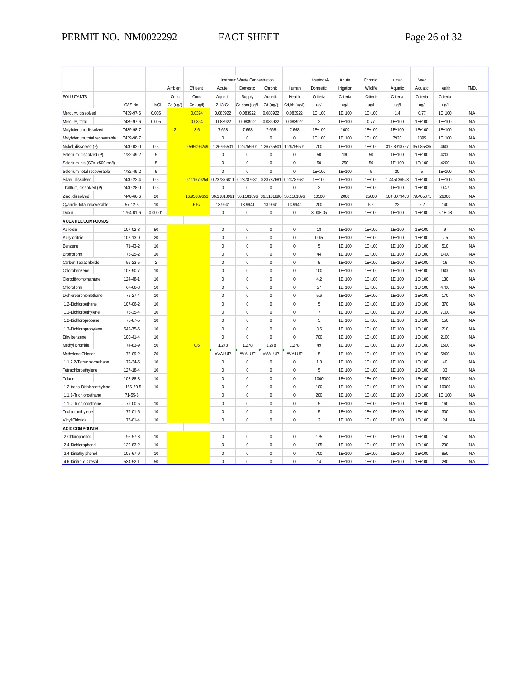|                               |                        |                |                |                        |                                                          | Instream Waste Concentration |                                                 |              | Livestock&              | Acute             | Chronic         | Human                 | Need                |               |                          |
|-------------------------------|------------------------|----------------|----------------|------------------------|----------------------------------------------------------|------------------------------|-------------------------------------------------|--------------|-------------------------|-------------------|-----------------|-----------------------|---------------------|---------------|--------------------------|
|                               |                        |                | Ambient        | Effluent               | Acute                                                    | Domestic                     | Chronic                                         | Human        | Domestic                | <b>Irrigation</b> | Wildlife        | Aquatic               | Aquatic             | Health        | <b>TMDL</b>              |
| <b>POLLUTANTS</b>             |                        |                | Conc           | Conc.                  | Aquatic                                                  | Supply                       | Aquatic                                         | Health       | Criteria                | Criteria          | Criteria        | Criteria              | Criteria            | Criteria      |                          |
|                               | CAS No.                | MQL            | Ca (ug/l)      | Ce (ug/l)              | 2.13*Ce                                                  | Cd,dom (ug/l)                | Cd (ug/l)                                       | Cd,hh (ug/l) | ug/l                    | ug/l              | ug/l            | ug/l                  | ug/l                | ug/l          |                          |
| Mercury, dissolved            | 7439-97-6              | 0.005          |                | 0.0394                 | 0.083922                                                 | 0.083922                     | 0.083922                                        | 0.083922     | 1E+100                  | 1E+100            | 1E+100          | 1.4                   | 0.77                | 1E+100        | <b>N/A</b>               |
| Mercury, total                | 7439-97-6              | 0.005          |                | 0.0394                 | 0.083922                                                 | 0.083922                     | 0.083922                                        | 0.083922     | $\overline{2}$          | 1E+100            | 0.77            | 1E+100                | 1E+100              | 1E+100        | <b>N/A</b>               |
| Molybdenum, dissolved         | 7439-98-7              |                | $\overline{2}$ | 3.6                    | 7.668                                                    | 7.668                        | 7.668                                           | 7.668        | 1E+100                  | 1000              | 1E+100          | 1E+100                | 1E+100              | 1E+100        | <b>N/A</b>               |
| Molybdenum, total recoverable | 7439-98-7              |                |                |                        | $\Omega$                                                 | 0                            | $\pmb{0}$                                       | 0            | 1E+100                  | 1E+100            | 1E+100          | 7920                  | 1895                | 1E+100        | <b>N/A</b>               |
| Nickel, dissolved (P)         | 7440-02-0              | 0.5            |                | 0.595096249 1.26755501 |                                                          |                              | 1.26755501 1.26755501                           | 1.26755501   | 700                     | 1E+100            | 1E+100          | 315.8918757           | 35.085835           | 4600          | <b>N/A</b>               |
| Selenium, dissolved (P)       | 7782-49-2              | 5              |                |                        | $\Omega$                                                 | 0                            | $\mathbf 0$                                     | 0            | 50                      | 130               | 50              | 1E+100                | 1E+100              | 4200          | <b>N/A</b>               |
| Selenium, dis (SO4 >500 mg/l) |                        | 5              |                |                        | $\mathbf 0$                                              | $\mathbf 0$                  | $\mathbf 0$                                     | $\mathbf 0$  | 50                      | 250               | 50              | 1E+100                | 1E+100              | 4200          | <b>N/A</b>               |
|                               | 7782-49-2              | 5              |                |                        | $\mathbf 0$                                              | 0                            | $\mathbf 0$                                     | $\mathbf 0$  | 1E+100                  | 1E+100            | 5               | 20                    | 5                   | 1E+100        | <b>N/A</b>               |
| Selenium, total recoverable   |                        |                |                |                        |                                                          |                              |                                                 |              |                         |                   |                 |                       |                     |               | <b>N/A</b>               |
| Silver, dissolved             | 7440-22-4              | 0.5            |                |                        | 0.111679254 0.237876811 0.23787681 0.23787681 0.23787681 |                              |                                                 |              | 1E+100                  | 1E+100            | 1E+100          | 1.445136523           | 1E+100              | 1E+100        |                          |
| Thalllium, dissolved (P)      | 7440-28-0<br>7440-66-6 | 0.5<br>20      |                |                        | 0<br>36.11818961                                         | 0                            | $\mathbf 0$<br>36.1181896 36.1181896 36.1181896 | 0            | $\overline{2}$<br>10500 | 1E+100<br>2000    | 1E+100<br>25000 | 1E+100<br>104.8079403 | 1E+100<br>79.405371 | 0.47<br>26000 | <b>N/A</b><br><b>N/A</b> |
| Zinc, dissolved               |                        |                |                | 16.95689653            |                                                          |                              |                                                 |              |                         |                   |                 |                       |                     |               |                          |
| Cyanide, total recoverable    | $57 - 12 - 5$          | 10             |                | 6.57                   | 13.9941                                                  | 13.9941                      | 13.9941                                         | 13.9941      | 200                     | 1E+100            | 5.2             | 22                    | 5.2                 | 140           | <b>N/A</b>               |
| Dioxin                        | 1764-01-6              | 0.00001        |                |                        | $\pmb{0}$                                                | $\mathbf 0$                  | $\mathbf 0$                                     | $\mathbf 0$  | 3.00E-05                | 1E+100            | 1E+100          | 1E+100                | 1E+100              | 5.1E-08       | <b>N/A</b>               |
| <b>VOLATILE COMPOUNDS</b>     |                        |                |                |                        |                                                          |                              |                                                 |              |                         |                   |                 |                       |                     |               |                          |
| Acrolein                      | 107-02-8               | 50             |                |                        | $\mathbf 0$                                              | 0                            | $\mathbf 0$                                     | 0            | 18                      | 1E+100            | 1E+100          | 1E+100                | 1E+100              | 9             | <b>N/A</b>               |
| Acrylonitrile                 | 107-13-0               | 20             |                |                        | $\Omega$                                                 | 0                            | $\mathbf 0$                                     | $\mathbf 0$  | 0.65                    | 1E+100            | 1E+100          | 1E+100                | 1E+100              | 2.5           | <b>N/A</b>               |
| Benzene                       | $71 - 43 - 2$          | 10             |                |                        | $\Omega$                                                 | 0                            | $\pmb{0}$                                       | $\mathbf 0$  | 5                       | 1E+100            | 1E+100          | 1E+100                | 1E+100              | 510           | <b>N/A</b>               |
| Bromoform                     | $75 - 25 - 2$          | 10             |                |                        | $\mathbf 0$                                              | 0                            | $\mathbf 0$                                     | $\mathbf 0$  | 44                      | 1E+100            | 1E+100          | 1E+100                | 1E+100              | 1400          | <b>N/A</b>               |
| Carbon Tetrachloride          | $56 - 23 - 5$          | $\overline{2}$ |                |                        | $\theta$                                                 | 0                            | $\mathbf 0$                                     | 0            | 5                       | 1E+100            | 1E+100          | 1E+100                | 1E+100              | 16            | <b>N/A</b>               |
| Chlorobenzene                 | 108-90-7               | 10             |                |                        | $\Omega$                                                 | 0                            | $\mathbf 0$                                     | 0            | 100                     | 1E+100            | 1E+100          | 1E+100                | 1E+100              | 1600          | <b>N/A</b>               |
| Clorodibromomethane           | 124-48-1               | 10             |                |                        | $\Omega$                                                 | 0                            | $\mathbf 0$                                     | 0            | 4.2                     | 1E+100            | 1E+100          | 1E+100                | 1E+100              | 130           | <b>N/A</b>               |
| Chloroform                    | 67-66-3                | 50             |                |                        | $\mathbf 0$                                              | 0                            | $\mathbf 0$                                     | 0            | 57                      | 1E+100            | 1E+100          | 1E+100                | 1E+100              | 4700          | <b>N/A</b>               |
| Dichlorobromomethane          | $75 - 27 - 4$          | 10             |                |                        | $\mathbf 0$                                              | 0                            | $\pmb{0}$                                       | 0            | 5.6                     | 1E+100            | 1E+100          | 1E+100                | 1E+100              | 170           | <b>N/A</b>               |
| 1,2-Dichloroethane            | 107-06-2               | 10             |                |                        | $\Omega$                                                 | 0                            | $\mathbf 0$                                     | 0            | 5                       | 1E+100            | 1E+100          | 1E+100                | 1E+100              | 370           | <b>N/A</b>               |
| 1,1-Dichloroethylene          | 75-35-4                | 10             |                |                        | $\Omega$                                                 | 0                            | $\mathbf 0$                                     | 0            | $\overline{7}$          | 1E+100            | 1E+100          | 1E+100                | 1E+100              | 7100          | <b>N/A</b>               |
| 1,2-Dichloropropane           | 78-87-5                | 10             |                |                        | $\theta$                                                 | 0                            | $\mathbf 0$                                     | 0            | 5                       | 1E+100            | 1E+100          | 1E+100                | 1E+100              | 150           | <b>N/A</b>               |
| 1,3-Dichloropropylene         | 542-75-6               | 10             |                |                        | $\Omega$                                                 | 0                            | $\mathbf 0$                                     | $\mathbf 0$  | 3.5                     | 1E+100            | 1E+100          | 1E+100                | 1E+100              | 210           | <b>N/A</b>               |
| Ethylbenzene                  | $100 - 41 - 4$         | 10             |                |                        | $\mathbf 0$                                              | 0                            | $\mathbf 0$                                     | $\mathbf 0$  | 700                     | 1E+100            | 1E+100          | 1E+100                | 1E+100              | 2100          | <b>N/A</b>               |
| Methyl Bromide                | 74-83-9                | 50             |                | 0.6                    | 1.278                                                    | 1.278                        | 1.278                                           | 1.278        | 49                      | 1E+100            | 1E+100          | 1E+100                | 1E+100              | 1500          | <b>N/A</b>               |
| Methylene Chloride            | 75-09-2                | 20             |                |                        | #VALUE                                                   | #VALUE!                      | #VALUE!                                         | #VALUE!      | 5                       | 1E+100            | 1E+100          | 1E+100                | 1E+100              | 5900          | <b>N/A</b>               |
| 1,1,2,2-Tetrachloroethane     | 79-34-5                | 10             |                |                        | $\Omega$                                                 | 0                            | $\mathbf 0$                                     | 0            | 1.8                     | 1E+100            | 1E+100          | 1E+100                | 1E+100              | 40            | <b>N/A</b>               |
| Tetrachloroethylene           | 127-18-4               | 10             |                |                        | $\mathbf 0$                                              | $\pmb{0}$                    | $\pmb{0}$                                       | 0            | 5                       | 1E+100            | 1E+100          | 1E+100                | 1E+100              | 33            | <b>N/A</b>               |
| Tolune                        | 108-88-3               | 10             |                |                        | $\mathbf 0$                                              | 0                            | $\pmb{0}$                                       | 0            | 1000                    | 1E+100            | 1E+100          | 1E+100                | 1E+100              | 15000         | <b>N/A</b>               |
| 1,2-trans-Dichloroethylene    | 156-60-5               | 10             |                |                        | $\theta$                                                 | 0                            | $\mathbf 0$                                     | 0            | 100                     | 1E+100            | 1E+100          | 1E+100                | 1E+100              | 10000         | <b>N/A</b>               |
| 1,1,1-Trichloroethane         | $71 - 55 - 6$          |                |                |                        | $\Omega$                                                 | 0                            | $\pmb{0}$                                       | 0            | 200                     | 1E+100            | 1E+100          | 1E+100                | 1E+100              | 1E+100        | <b>N/A</b>               |
| 1,1,2-Trichloroethane         | 79-00-5                | 10             |                |                        | $\Omega$                                                 | 0                            | $\mathbf 0$                                     | $\mathbf 0$  | 5                       | 1E+100            | 1E+100          | 1E+100                | 1E+100              | 160           | <b>N/A</b>               |
| Trichloroethylene             | 79-01-6                | 10             |                |                        | $\mathbf 0$                                              | 0                            | $\pmb{0}$                                       | $\mathbf 0$  | 5                       | 1E+100            | 1E+100          | 1E+100                | 1E+100              | 300           | <b>N/A</b>               |
| Vinyl Chloride                | 75-01-4                | 10             |                |                        | $\mathbf 0$                                              | 0                            | $\mathbf 0$                                     | $\mathbf 0$  | $\overline{2}$          | 1E+100            | 1E+100          | 1E+100                | 1E+100              | 24            | <b>N/A</b>               |
| <b>ACID COMPOUNDS</b>         |                        |                |                |                        |                                                          |                              |                                                 |              |                         |                   |                 |                       |                     |               |                          |
| 2-Chlorophenol                | $95 - 57 - 8$          | 10             |                |                        | $\Omega$                                                 | 0                            | $\mathbf 0$                                     | 0            | 175                     | 1E+100            | 1E+100          | 1E+100                | 1E+100              | 150           | <b>N/A</b>               |
| 2,4-Dichlorophenol            | 120-83-2               | 10             |                |                        | $\mathbf 0$                                              | 0                            | $\mathbf 0$                                     | 0            | 105                     | 1E+100            | 1E+100          | 1E+100                | 1E+100              | 290           | <b>N/A</b>               |
| 2,4-Dimethylphenol            | 105-67-9               | 10             |                |                        | $\mathbf 0$                                              | 0                            | $\mathbf 0$                                     | $\Omega$     | 700                     | 1E+100            | 1E+100          | 1E+100                | 1E+100              | 850           | <b>N/A</b>               |
| 4,6-Dinitro-o-Cresol          | 534-52-1               | 50             |                |                        | $\mathbf 0$                                              | 0                            | $\mathbf 0$                                     | 0            | 14                      | 1E+100            | 1E+100          | 1E+100                | 1E+100              | 280           | <b>N/A</b>               |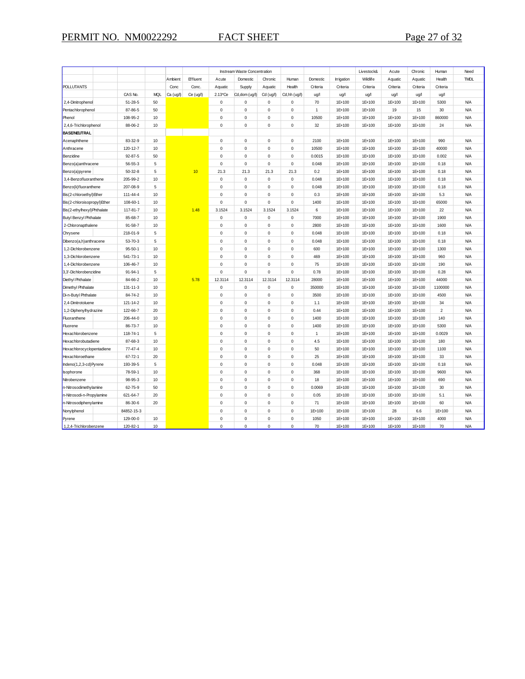|                               |               |             |           |           |             | Instream Waste Concentration |             |               |              |            | Livestock& | Acute    | Chronic  | Human          | Need        |
|-------------------------------|---------------|-------------|-----------|-----------|-------------|------------------------------|-------------|---------------|--------------|------------|------------|----------|----------|----------------|-------------|
|                               |               |             | Ambient   | Effluent  | Acute       | Domestic                     | Chronic     | Human         | Domestic     | Irrigation | Wildlife   | Aquatic  | Aquatic  | Health         | <b>TMDL</b> |
| <b>POLLUTANTS</b>             |               |             | Conc      | Conc.     | Aquatic     | Supply                       | Aquatic     | Health        | Criteria     | Criteria   | Criteria   | Criteria | Criteria | Criteria       |             |
|                               | CAS No.       | <b>MQL</b>  | Ca (ug/l) | Ce (ug/l) | 2.13°Ce     | Cd,dom (ug/l)                | Cd (ug/l)   | Cd, hh (ug/l) | ug/l         | ug/l       | ug/l       | ug/l     | ug/l     | ug/l           |             |
| 2,4-Dinitrophenol             | $51 - 28 - 5$ | 50          |           |           | $\pmb{0}$   | $\mathsf 0$                  | $\pmb{0}$   | $\pmb{0}$     | 70           | 1E+100     | 1E+100     | 1E+100   | 1E+100   | 5300           | <b>N/A</b>  |
| Pentachlorophenol             | 87-86-5       | 50          |           |           | $\pmb{0}$   | $\mathsf 0$                  | $\mathbf 0$ | $\pmb{0}$     | $\mathbf{1}$ | 1E+100     | 1E+100     | 19       | 15       | 30             | <b>N/A</b>  |
| Phenol                        | 108-95-2      | 10          |           |           | $\pmb{0}$   | $\mathsf 0$                  | $\pmb{0}$   | $\mathbf 0$   | 10500        | 1E+100     | 1E+100     | 1E+100   | 1E+100   | 860000         | <b>N/A</b>  |
| 2,4,6-Trichlorophenol         | 88-06-2       | $10$        |           |           | $\pmb{0}$   | $\mathsf 0$                  | $\pmb{0}$   | $\mathbf 0$   | 32           | 1E+100     | 1E+100     | 1E+100   | 1E+100   | 24             | <b>N/A</b>  |
| <b>BASE/NEUTRAL</b>           |               |             |           |           |             |                              |             |               |              |            |            |          |          |                |             |
| Acenaphthene                  | 83-32-9       | 10          |           |           | $\pmb{0}$   | $\mathsf 0$                  | $\pmb{0}$   | $\mathbf 0$   | 2100         | 1E+100     | 1E+100     | 1E+100   | 1E+100   | 990            | <b>N/A</b>  |
| Anthracene                    | 120-12-7      | $10$        |           |           | $\pmb{0}$   | $\mathsf 0$                  | $\mathbf 0$ | $\pmb{0}$     | 10500        | 1E+100     | 1E+100     | 1E+100   | 1E+100   | 40000          | <b>N/A</b>  |
| Benzidine                     | $92 - 87 - 5$ | 50          |           |           | $\Omega$    | $\mathbf 0$                  | $\mathbf 0$ | $\mathbf 0$   | 0.0015       | 1E+100     | 1E+100     | 1E+100   | 1E+100   | 0.002          | <b>N/A</b>  |
| Benzo(a)anthracene            | $56 - 55 - 3$ | 5           |           |           | $\pmb{0}$   | $\mathsf 0$                  | $\pmb{0}$   | $\mathbf 0$   | 0.048        | 1E+100     | 1E+100     | 1E+100   | 1E+100   | 0.18           | <b>N/A</b>  |
| Benzo(a)pyrene                | $50 - 32 - 8$ | 5           |           | 10        | 21.3        | 21.3                         | 21.3        | 21.3          | 0.2          | 1E+100     | 1E+100     | 1E+100   | 1E+100   | 0.18           | <b>N/A</b>  |
| 3,4-Benzofluoranthene         | 205-99-2      | 10          |           |           | $\mathbf 0$ | 0                            | $\pmb{0}$   | $\mathbf 0$   | 0.048        | 1E+100     | 1E+100     | 1E+100   | 1E+100   | 0.18           | <b>N/A</b>  |
| Benzo(k)fluoranthene          | 207-08-9      | 5           |           |           | $\pmb{0}$   | $\mathsf 0$                  | $\pmb{0}$   | $\pmb{0}$     | 0.048        | 1E+100     | 1E+100     | 1E+100   | 1E+100   | 0.18           | <b>N/A</b>  |
| Bis(2-chloroethyl)Ether       | 111-44-4      | 10          |           |           | $\pmb{0}$   | $\mathsf 0$                  | $\mathbf 0$ | $\mathbf 0$   | 0.3          | 1E+100     | 1E+100     | 1E+100   | 1E+100   | 5.3            | <b>N/A</b>  |
| Bis(2-chloroisopropyl)Ether   | 108-60-1      | 10          |           |           | $\pmb{0}$   | $\mathsf 0$                  | $\mathbf 0$ | $\pmb{0}$     | 1400         | 1E+100     | 1E+100     | 1E+100   | 1E+100   | 65000          | <b>N/A</b>  |
| Bis(2-ethylhexyl) Phthalate   | 117-81-7      | 10          |           | 1.48      | 3.1524      | 3.1524                       | 3.1524      | 3.1524        | 6            | 1E+100     | 1E+100     | 1E+100   | 1E+100   | 22             | <b>N/A</b>  |
| <b>Butyl Benzyl Phthalate</b> | 85-68-7       | 10          |           |           | 0           | $\mathsf 0$                  | $\pmb{0}$   | 0             | 7000         | 1E+100     | 1E+100     | 1E+100   | 1E+100   | 1900           | <b>N/A</b>  |
| 2-Chloronapthalene            | $91 - 58 - 7$ | 10          |           |           | $\mathbf 0$ | $\mathbf 0$                  | $\mathbf 0$ | $\mathbf 0$   | 2800         | 1E+100     | 1E+100     | 1E+100   | 1E+100   | 1600           | <b>N/A</b>  |
| Chrysene                      | 218-01-9      | 5           |           |           | $\pmb{0}$   | $\mathsf 0$                  | $\pmb{0}$   | $\mathbf 0$   | 0.048        | 1E+100     | 1E+100     | 1E+100   | 1E+100   | 0.18           | <b>N/A</b>  |
| Dibenzo(a,h)anthracene        | $53 - 70 - 3$ | $\mathbf 5$ |           |           | $\pmb{0}$   | $\mathsf 0$                  | $\mathbf 0$ | $\pmb{0}$     | 0.048        | 1E+100     | 1E+100     | 1E+100   | 1E+100   | 0.18           | <b>N/A</b>  |
| 1,2-Dichlorobenzene           | $95 - 50 - 1$ | 10          |           |           | $\mathbf 0$ | $\mathbf 0$                  | $\pmb{0}$   | $\mathbf 0$   | 600          | 1E+100     | 1E+100     | 1E+100   | 1E+100   | 1300           | <b>N/A</b>  |
| 1,3-Dichlorobenzene           | 541-73-1      | 10          |           |           | $\pmb{0}$   | $\mathsf 0$                  | $\mathbf 0$ | $\mathbf 0$   | 469          | 1E+100     | 1E+100     | 1E+100   | 1E+100   | 960            | <b>N/A</b>  |
| 1,4-Dichlorobenzene           | 106-46-7      | 10          |           |           | $\mathbf 0$ | $\mathbf 0$                  | $\mathbf 0$ | $\mathbf 0$   | 75           | 1E+100     | 1E+100     | 1E+100   | 1E+100   | 190            | <b>N/A</b>  |
|                               | 91-94-1       | 5           |           |           | $\pmb{0}$   | $\mathbf 0$                  | $\pmb{0}$   | $\mathbf 0$   | 0.78         | 1E+100     | 1E+100     | 1E+100   | 1E+100   | 0.28           | <b>N/A</b>  |
| 3,3'-Dichlorobenzidine        |               | 10          |           | 5.78      | 12.3114     | 12.3114                      | 12.3114     | 12.3114       | 28000        |            |            |          | 1E+100   | 44000          | <b>N/A</b>  |
| <b>Diethyl Phthalate</b>      | 84-66-2       |             |           |           |             |                              |             |               |              | 1E+100     | 1E+100     | 1E+100   |          |                |             |
| Dimethyl Phthalate            | 131-11-3      | 10          |           |           | $\mathbf 0$ | $\mathsf 0$                  | $\pmb{0}$   | $\pmb{0}$     | 350000       | 1E+100     | 1E+100     | 1E+100   | 1E+100   | 1100000        | <b>N/A</b>  |
| Di-n-Butyl Phthalate          | 84-74-2       | 10          |           |           | $\pmb{0}$   | $\mathsf 0$                  | $\mathbf 0$ | $\mathbf 0$   | 3500         | 1E+100     | 1E+100     | 1E+100   | 1E+100   | 4500           | <b>N/A</b>  |
| 2,4-Dinitrotoluene            | 121-14-2      | 10          |           |           | $\pmb{0}$   | $\mathsf 0$                  | $\pmb{0}$   | $\pmb{0}$     | 1.1          | 1E+100     | 1E+100     | 1E+100   | 1E+100   | 34             | <b>N/A</b>  |
| 1,2-Diphenylhydrazine         | 122-66-7      | 20          |           |           | $\mathbf 0$ | $\mathsf 0$                  | $\pmb{0}$   | $\pmb{0}$     | 0.44         | 1E+100     | 1E+100     | 1E+100   | 1E+100   | $\overline{2}$ | <b>N/A</b>  |
| Fluoranthene                  | 206-44-0      | 10          |           |           | $\mathbf 0$ | $\mathbf 0$                  | $\mathbf 0$ | $\mathbf 0$   | 1400         | 1E+100     | 1E+100     | 1E+100   | 1E+100   | 140            | <b>N/A</b>  |
| Fluorene                      | 86-73-7       | 10          |           |           | $\pmb{0}$   | $\mathsf 0$                  | $\mathbf 0$ | $\pmb{0}$     | 1400         | 1E+100     | 1E+100     | 1E+100   | 1E+100   | 5300           | <b>N/A</b>  |
| Hexachlorobenzene             | 118-74-1      | 5           |           |           | $\mathbf 0$ | $\mathsf 0$                  | $\pmb{0}$   | $\pmb{0}$     | $\mathbf{1}$ | 1E+100     | 1E+100     | 1E+100   | 1E+100   | 0.0029         | <b>N/A</b>  |
| Hexachlorobutadiene           | 87-68-3       | 10          |           |           | $\pmb{0}$   | $\mathsf 0$                  | $\pmb{0}$   | $\mathbf 0$   | 4.5          | 1E+100     | 1E+100     | 1E+100   | 1E+100   | 180            | <b>N/A</b>  |
| Hexachlorocyclopentadiene     | $77 - 47 - 4$ | 10          |           |           | 0           | $\mathsf 0$                  | $\mathbf 0$ | $\pmb{0}$     | 50           | 1E+100     | 1E+100     | 1E+100   | 1E+100   | 1100           | <b>N/A</b>  |
| Hexachloroethane              | $67 - 72 - 1$ | 20          |           |           | $\Omega$    | $\mathbf 0$                  | $\mathbf 0$ | $\mathbf 0$   | 25           | 1E+100     | 1E+100     | 1E+100   | 1E+100   | 33             | <b>N/A</b>  |
| Indeno(1,2,3-cd)Pyrene        | 193-39-5      | 5           |           |           | $\pmb{0}$   | $\mathsf 0$                  | $\pmb{0}$   | $\pmb{0}$     | 0.048        | 1E+100     | 1E+100     | 1E+100   | 1E+100   | 0.18           | <b>N/A</b>  |
| sophorone                     | 78-59-1       | 10          |           |           | $\mathbf 0$ | $\mathbf 0$                  | $\mathbf 0$ | $\mathbf 0$   | 368          | 1E+100     | 1E+100     | 1E+100   | 1E+100   | 9600           | <b>N/A</b>  |
| Nitrobenzene                  | 98-95-3       | 10          |           |           | $\mathbf 0$ | $\mathsf 0$                  | $\pmb{0}$   | $\mathbf 0$   | 18           | 1E+100     | 1E+100     | 1E+100   | 1E+100   | 690            | <b>N/A</b>  |
| n-Nitrosodimethylamine        | 62-75-9       | 50          |           |           | $\pmb{0}$   | $\mathsf 0$                  | $\mathbf 0$ | $\pmb{0}$     | 0.0069       | 1E+100     | 1E+100     | 1E+100   | 1E+100   | 30             | <b>N/A</b>  |
| n-Nitrosodi-n-Propylamine     | 621-64-7      | 20          |           |           | $\Omega$    | $\mathbf 0$                  | $\pmb{0}$   | $\mathbf 0$   | 0.05         | 1E+100     | 1E+100     | 1E+100   | 1E+100   | 5.1            | <b>N/A</b>  |
| n-Nitrosodiphenylamine        | 86-30-6       | 20          |           |           | $\pmb{0}$   | $\mathsf 0$                  | $\pmb{0}$   | $\pmb{0}$     | 71           | 1E+100     | 1E+100     | 1E+100   | 1E+100   | 60             | <b>N/A</b>  |
| Nonylphenol                   | 84852-15-3    |             |           |           | $\pmb{0}$   | $\mathsf 0$                  | $\mathbf 0$ | $\mathbf 0$   | 1E+100       | 1E+100     | 1E+100     | 28       | 6.6      | 1E+100         | <b>N/A</b>  |
| Pyrene                        | 129-00-0      | 10          |           |           | $\mathbf 0$ | $\mathsf 0$                  | $\mathbf 0$ | $\mathbf 0$   | 1050         | 1E+100     | 1E+100     | 1E+100   | 1E+100   | 4000           | <b>N/A</b>  |
| 1.2.4-Trichlorobenzene        | 120-82-1      | 10          |           |           | $\Omega$    | $\mathbf 0$                  | $\mathbf 0$ | $\Omega$      | 70           | 1E+100     | 1E+100     | 1E+100   | 1E+100   | 70             | <b>N/A</b>  |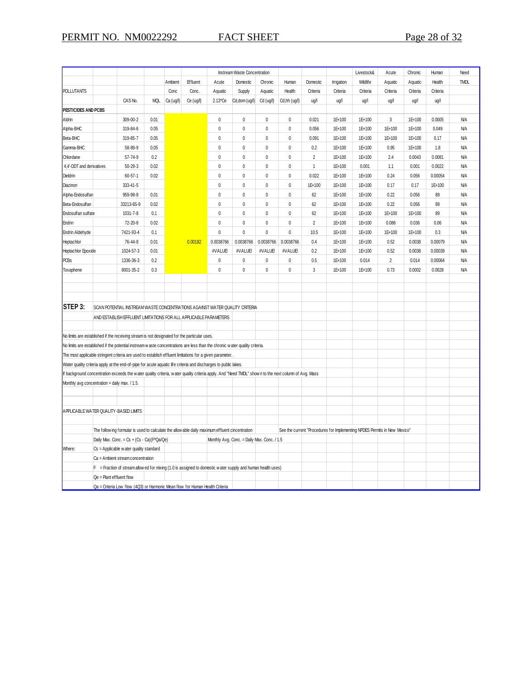|                                                                                                                                                     |                                                                                                  |               |            |           |           |                                                                                                               | Instream Waste Concentration |                                             |              |                |            | Livestock&                                                                | Acute          | Chronic  | Human    | Need        |
|-----------------------------------------------------------------------------------------------------------------------------------------------------|--------------------------------------------------------------------------------------------------|---------------|------------|-----------|-----------|---------------------------------------------------------------------------------------------------------------|------------------------------|---------------------------------------------|--------------|----------------|------------|---------------------------------------------------------------------------|----------------|----------|----------|-------------|
|                                                                                                                                                     |                                                                                                  |               |            | Ambient   | Effluent  | Acute                                                                                                         | Domestic                     | Chronic                                     | Human        | Domestic       | Irrigation | Wildlife                                                                  | Aquatic        | Aquatic  | Health   | <b>TMDL</b> |
| <b>POLLUTANTS</b>                                                                                                                                   |                                                                                                  |               |            | Conc      | Conc.     | Aquatic                                                                                                       | Supply                       | Aquatic                                     | Health       | Criteria       | Criteria   | Criteria                                                                  | Criteria       | Criteria | Criteria |             |
|                                                                                                                                                     |                                                                                                  | CAS No.       | <b>MQL</b> | Ca (ug/l) | Ce (ug/l) | 2.13*Ce                                                                                                       | Cd, dom (ug/l)               | Cd (ug/l)                                   | Cd,hh (ug/l) | ug/l           | ug/l       | ug/l                                                                      | ug/l           | ug/l     | ug/l     |             |
| PESTICIDES AND PCBS                                                                                                                                 |                                                                                                  |               |            |           |           |                                                                                                               |                              |                                             |              |                |            |                                                                           |                |          |          |             |
| Aldrin                                                                                                                                              |                                                                                                  | 309-00-2      | 0.01       |           |           | 0                                                                                                             | $\pmb{0}$                    | $\mathbf{0}$                                | $\mathbf{0}$ | 0.021          | 1E+100     | 1E+100                                                                    | 3              | 1E+100   | 0.0005   | <b>N/A</b>  |
| Alpha-BHC                                                                                                                                           |                                                                                                  | 319-84-6      | 0.05       |           |           | 0                                                                                                             | $\mathbf 0$                  | $\mathbf 0$                                 | $\mathbf 0$  | 0.056          | 1E+100     | 1E+100                                                                    | 1E+100         | 1E+100   | 0.049    | <b>N/A</b>  |
| Beta-BHC                                                                                                                                            |                                                                                                  | 319-85-7      | 0.05       |           |           | 0                                                                                                             | $\pmb{0}$                    | 0                                           | $\pmb{0}$    | 0.091          | 1E+100     | 1E+100                                                                    | 1E+100         | 1E+100   | 0.17     | <b>N/A</b>  |
| Gamma-BHC                                                                                                                                           |                                                                                                  | 58-89-9       | 0.05       |           |           | 0                                                                                                             | $\pmb{0}$                    | $\mathbf 0$                                 | $\pmb{0}$    | 0.2            | 1E+100     | 1E+100                                                                    | 0.95           | 1E+100   | 1.8      | <b>N/A</b>  |
| Chlordane                                                                                                                                           |                                                                                                  | 57-74-9       | 0.2        |           |           | 0                                                                                                             | $\mathbf{0}$                 | $\pmb{0}$                                   | $\pmb{0}$    | $\overline{2}$ | 1E+100     | 1E+100                                                                    | 2.4            | 0.0043   | 0.0081   | <b>N/A</b>  |
| 4,4'-DDT and derivatives                                                                                                                            |                                                                                                  | $50 - 29 - 3$ | 0.02       |           |           | 0                                                                                                             | $\pmb{0}$                    | 0                                           | $\mathbf 0$  | $\mathbf{1}$   | 1E+100     | 0.001                                                                     | 1.1            | 0.001    | 0.0022   | <b>N/A</b>  |
| <b>Dieldrin</b>                                                                                                                                     |                                                                                                  | $60 - 57 - 1$ | 0.02       |           |           | 0                                                                                                             | $\pmb{0}$                    | $\mathbf 0$                                 | $\mathbf 0$  | 0.022          | 1E+100     | 1E+100                                                                    | 0.24           | 0.056    | 0.00054  | <b>N/A</b>  |
| Diazinon                                                                                                                                            |                                                                                                  | 333-41-5      |            |           |           | 0                                                                                                             | $\pmb{0}$                    | $\pmb{0}$                                   | $\mathbf{0}$ | 1E+100         | 1E+100     | 1E+100                                                                    | 0.17           | 0.17     | 1E+100   | <b>N/A</b>  |
| Alpha-Endosulfan                                                                                                                                    |                                                                                                  | 959-98-8      | 0.01       |           |           | 0                                                                                                             | $\mathbf{0}$                 | $\mathbf 0$                                 | $\mathbf 0$  | 62             | 1E+100     | 1E+100                                                                    | 0.22           | 0.056    | 89       | <b>N/A</b>  |
| Beta-Endosulfan                                                                                                                                     |                                                                                                  | 33213-65-9    | 0.02       |           |           | 0                                                                                                             | $\pmb{0}$                    | $\pmb{0}$                                   | $\pmb{0}$    | 62             | 1E+100     | 1E+100                                                                    | 0.22           | 0.056    | 89       | <b>N/A</b>  |
| Endosulf an sulf ate                                                                                                                                |                                                                                                  | 1031-7-8      | 0.1        |           |           | 0                                                                                                             | $\pmb{0}$                    | 0                                           | $\pmb{0}$    | 62             | 1E+100     | 1E+100                                                                    | 1E+100         | 1E+100   | 89       | <b>N/A</b>  |
| Endrin                                                                                                                                              |                                                                                                  | 72-20-8       | 0.02       |           |           | $\pmb{0}$                                                                                                     | $\pmb{0}$                    | $\pmb{0}$                                   | $\pmb{0}$    | $\overline{2}$ | 1E+100     | 1E+100                                                                    | 0.086          | 0.036    | 0.06     | <b>N/A</b>  |
| Endrin Aldehyde                                                                                                                                     |                                                                                                  | 7421-93-4     | 0.1        |           |           | 0                                                                                                             | $\mathbf{0}$                 | $\pmb{0}$                                   | $\pmb{0}$    | 10.5           | 1E+100     | 1E+100                                                                    | 1E+100         | 1E+100   | 0.3      | <b>N/A</b>  |
| Heptachlor                                                                                                                                          |                                                                                                  | 76-44-8       | 0.01       |           | 0.00182   | 0.0038766                                                                                                     | 0.0038766                    | 0.0038766                                   | 0.0038766    | 0.4            | 1E+100     | 1E+100                                                                    | 0.52           | 0.0038   | 0.00079  | <b>N/A</b>  |
| Heptachlor Epoxide                                                                                                                                  |                                                                                                  | 1024-57-3     | 0.01       |           |           | #VALUE!                                                                                                       | #VALUE!                      | #VALUE!                                     | #VALUE       | 0.2            | 1E+100     | 1E+100                                                                    | 0.52           | 0.0038   | 0.00039  | <b>N/A</b>  |
| <b>PCBs</b>                                                                                                                                         |                                                                                                  | 1336-36-3     | 0.2        |           |           | 0                                                                                                             | $\mathbf{0}$                 | $\pmb{0}$                                   | $\mathbf 0$  | 0.5            | 1E+100     | 0.014                                                                     | $\overline{2}$ | 0.014    | 0.00064  | <b>N/A</b>  |
| Toxaphene                                                                                                                                           |                                                                                                  | 8001-35-2     | 0.3        |           |           | 0                                                                                                             | $\theta$                     | $\mathbf 0$                                 | $\mathbf 0$  | 3              | 1E+100     | 1E+100                                                                    | 0.73           | 0.0002   | 0.0028   | <b>N/A</b>  |
|                                                                                                                                                     |                                                                                                  |               |            |           |           |                                                                                                               |                              |                                             |              |                |            |                                                                           |                |          |          |             |
|                                                                                                                                                     |                                                                                                  |               |            |           |           |                                                                                                               |                              |                                             |              |                |            |                                                                           |                |          |          |             |
|                                                                                                                                                     |                                                                                                  |               |            |           |           |                                                                                                               |                              |                                             |              |                |            |                                                                           |                |          |          |             |
| STEP 3:                                                                                                                                             |                                                                                                  |               |            |           |           | SCAN POTENTIAL INSTREAM WASTE CONCENTRATIONS AGAINST WATER QUALITY CRITERIA                                   |                              |                                             |              |                |            |                                                                           |                |          |          |             |
|                                                                                                                                                     | AND ESTABLISH EFFLUENT LIMITATIONS FOR ALL APPLICABLE PARAMETERS                                 |               |            |           |           |                                                                                                               |                              |                                             |              |                |            |                                                                           |                |          |          |             |
|                                                                                                                                                     |                                                                                                  |               |            |           |           |                                                                                                               |                              |                                             |              |                |            |                                                                           |                |          |          |             |
| No limits are established if the receiving stream is not designated for the particular uses.                                                        |                                                                                                  |               |            |           |           |                                                                                                               |                              |                                             |              |                |            |                                                                           |                |          |          |             |
| No limits are established if the potential instream w aste concentrations are less than the chronic w ater quality criteria.                        |                                                                                                  |               |            |           |           |                                                                                                               |                              |                                             |              |                |            |                                                                           |                |          |          |             |
| The most applicable stringent criteria are used to establish effluent limitations for a given parameter.                                            |                                                                                                  |               |            |           |           |                                                                                                               |                              |                                             |              |                |            |                                                                           |                |          |          |             |
| Water quality criteria apply at the end-of-pipe for acute aquatic life criteria and discharges to public lakes.                                     |                                                                                                  |               |            |           |           |                                                                                                               |                              |                                             |              |                |            |                                                                           |                |          |          |             |
| If background concentration exceeds the water quality criteria, water quality criteria apply. And "Need TMDL" shown to the next column of Avg. Mass |                                                                                                  |               |            |           |           |                                                                                                               |                              |                                             |              |                |            |                                                                           |                |          |          |             |
| Monthly avg concentration = daily max. / 1.5.                                                                                                       |                                                                                                  |               |            |           |           |                                                                                                               |                              |                                             |              |                |            |                                                                           |                |          |          |             |
|                                                                                                                                                     |                                                                                                  |               |            |           |           |                                                                                                               |                              |                                             |              |                |            |                                                                           |                |          |          |             |
|                                                                                                                                                     |                                                                                                  |               |            |           |           |                                                                                                               |                              |                                             |              |                |            |                                                                           |                |          |          |             |
| APPLICABLE WATER QUALITY-BASED LIMITS                                                                                                               |                                                                                                  |               |            |           |           |                                                                                                               |                              |                                             |              |                |            |                                                                           |                |          |          |             |
|                                                                                                                                                     |                                                                                                  |               |            |           |           |                                                                                                               |                              |                                             |              |                |            |                                                                           |                |          |          |             |
|                                                                                                                                                     | The follow ing formular is used to calculate the allow able daily maximum effluent cincentration |               |            |           |           |                                                                                                               |                              |                                             |              |                |            | See the current "Procedures for Implementing NPDES Permits in New Mexico" |                |          |          |             |
|                                                                                                                                                     | Daily Max. Conc. = $Cs + (Cs - Ca)(F^*Qa/Qe)$                                                    |               |            |           |           |                                                                                                               |                              | Monthly Avg. Conc. = Daily Max. Conc. / 1.5 |              |                |            |                                                                           |                |          |          |             |
| Where:                                                                                                                                              | Cs = Applicable w ater quality standard                                                          |               |            |           |           |                                                                                                               |                              |                                             |              |                |            |                                                                           |                |          |          |             |
|                                                                                                                                                     | Ca = Ambient stream concentration                                                                |               |            |           |           |                                                                                                               |                              |                                             |              |                |            |                                                                           |                |          |          |             |
|                                                                                                                                                     |                                                                                                  |               |            |           |           | $F =$ Fraction of stream allow ed for mixing (1.0 is assigned to domestic water supply and human health uses) |                              |                                             |              |                |            |                                                                           |                |          |          |             |
|                                                                                                                                                     | Qe = Plant effluent flow                                                                         |               |            |           |           |                                                                                                               |                              |                                             |              |                |            |                                                                           |                |          |          |             |
| Qa = Criteria Low flow (4Q3) or Harmonic Mean flow for Human Health Criteria                                                                        |                                                                                                  |               |            |           |           |                                                                                                               |                              |                                             |              |                |            |                                                                           |                |          |          |             |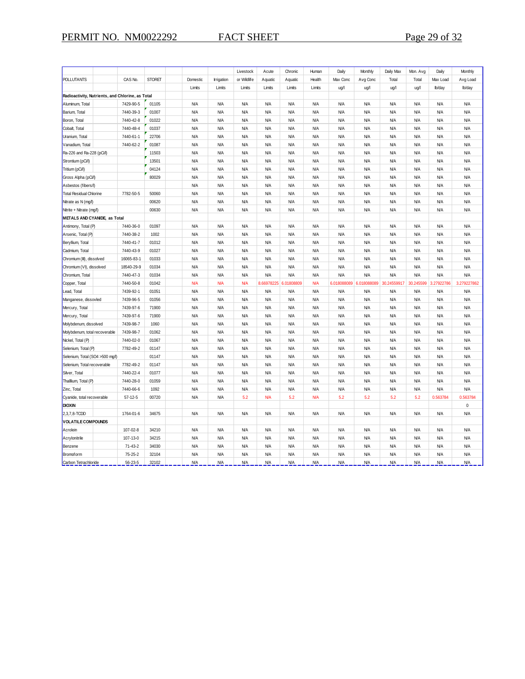|                                                  |               |               |            |                   | Livestock   | Acute      | Chronic    | Human      | Daily      | Monthly                 | Daily Max   | Mon. Avg   | Daily      | Monthly     |
|--------------------------------------------------|---------------|---------------|------------|-------------------|-------------|------------|------------|------------|------------|-------------------------|-------------|------------|------------|-------------|
| POLLUTANTS                                       | CAS No.       | <b>STORET</b> | Domestic   | <b>Irrigation</b> | or Wildlife | Aquatic    | Aquatic    | Health     | Max Conc   | Avg Conc                | Total       | Total      | Max Load   | Avg Load    |
|                                                  |               |               | Limits     | Limits            | Limits      | Limits     | Limits     | Limits     | ug/l       | ug/l                    | ug/l        | ug/l       | lb/day     | lb/day      |
| Radioactivity, Nutrients, and Chlorine, as Total |               |               |            |                   |             |            |            |            |            |                         |             |            |            |             |
| Aluminum, Total                                  | 7429-90-5     | 01105         | <b>N/A</b> | N/A               | <b>N/A</b>  | <b>N/A</b> | <b>N/A</b> | <b>N/A</b> | <b>N/A</b> | <b>N/A</b>              | <b>N/A</b>  | <b>N/A</b> | <b>N/A</b> | <b>N/A</b>  |
| Barium, Total                                    | 7440-39-3     | 01007         | <b>N/A</b> | ΝA                | <b>N/A</b>  | <b>N/A</b> | <b>N/A</b> | <b>N/A</b> | <b>N/A</b> | <b>N/A</b>              | N/A         | <b>N/A</b> | <b>N/A</b> | <b>N/A</b>  |
| Boron, Total                                     | 7440-42-8     | 01022         | <b>N/A</b> | N/A               | <b>N/A</b>  | <b>N/A</b> | <b>N/A</b> | <b>N/A</b> | <b>N/A</b> | <b>N/A</b>              | N/A         | <b>N/A</b> | <b>N/A</b> | <b>N/A</b>  |
| Cobalt, Total                                    | 7440-48-4     | 01037         | <b>N/A</b> | N/A               | <b>N/A</b>  | <b>N/A</b> | <b>N/A</b> | <b>N/A</b> | <b>N/A</b> | <b>N/A</b>              | N/A         | <b>N/A</b> | <b>N/A</b> | <b>N/A</b>  |
| Uranium, Total                                   | 7440-61-1     | 22706         | <b>N/A</b> | <b>N/A</b>        | <b>N/A</b>  | <b>N/A</b> | <b>N/A</b> | <b>N/A</b> | <b>N/A</b> | <b>N/A</b>              | N/A         | <b>N/A</b> | <b>N/A</b> | <b>N/A</b>  |
| Vanadium, Total                                  | 7440-62-2     | 01087         | <b>N/A</b> | <b>N/A</b>        | <b>N/A</b>  | <b>N/A</b> | <b>N/A</b> | <b>N/A</b> | <b>N/A</b> | <b>N/A</b>              | N/A         | <b>N/A</b> | <b>N/A</b> | <b>N/A</b>  |
| Ra-226 and Ra-228 (pCi/l)                        |               | 11503         | <b>N/A</b> | <b>N/A</b>        | <b>N/A</b>  | <b>N/A</b> | <b>N/A</b> | <b>N/A</b> | <b>N/A</b> | <b>N/A</b>              | N/A         | <b>N/A</b> | <b>N/A</b> | <b>N/A</b>  |
| Strontium (pCi/l)                                |               | 13501         | <b>N/A</b> | <b>N/A</b>        | <b>N/A</b>  | <b>N/A</b> | <b>N/A</b> | <b>N/A</b> | <b>N/A</b> | <b>N/A</b>              | N/A         | <b>N/A</b> | <b>N/A</b> | <b>N/A</b>  |
| Tritium (pCi/l)                                  |               | 04124         | <b>N/A</b> | <b>N/A</b>        | <b>N/A</b>  | <b>N/A</b> | <b>N/A</b> | <b>N/A</b> | <b>N/A</b> | <b>N/A</b>              | N/A         | <b>N/A</b> | <b>N/A</b> | <b>N/A</b>  |
| Gross Alpha (pCi/l)                              |               | 80029         | <b>N/A</b> | <b>N/A</b>        | <b>N/A</b>  | <b>N/A</b> | <b>N/A</b> | <b>N/A</b> | <b>N/A</b> | <b>N/A</b>              | N/A         | <b>N/A</b> | <b>N/A</b> | N/A         |
| Asbestos (fibers/l)                              |               |               | <b>N/A</b> | <b>N/A</b>        | <b>N/A</b>  | <b>N/A</b> | <b>N/A</b> | <b>N/A</b> | <b>N/A</b> | <b>N/A</b>              | N/A         | <b>N/A</b> | <b>N/A</b> | <b>N/A</b>  |
| Total Residual Chlorine                          | 7782-50-5     | 50060         | <b>N/A</b> | <b>N/A</b>        | <b>N/A</b>  | <b>N/A</b> | <b>N/A</b> | <b>N/A</b> | <b>N/A</b> | <b>N/A</b>              | N/A         | <b>N/A</b> | <b>N/A</b> | <b>N/A</b>  |
| Nitrate as N (mg/l)                              |               | 00620         | <b>N/A</b> | <b>N/A</b>        | <b>N/A</b>  | <b>N/A</b> | <b>N/A</b> | <b>N/A</b> | <b>N/A</b> | <b>N/A</b>              | <b>N/A</b>  | <b>N/A</b> | <b>N/A</b> | <b>N/A</b>  |
| Nitrite + Nitrate (mg/l)                         |               | 00630         | <b>N/A</b> | <b>N/A</b>        | <b>N/A</b>  | <b>N/A</b> | <b>N/A</b> | <b>N/A</b> | <b>N/A</b> | <b>N/A</b>              | <b>N/A</b>  | <b>N/A</b> | <b>N/A</b> | <b>N/A</b>  |
| METALS AND CYANIDE, as Total                     |               |               |            |                   |             |            |            |            |            |                         |             |            |            |             |
| Antimony, Total (P)                              | 7440-36-0     | 01097         | <b>N/A</b> | N/A               | <b>N/A</b>  | <b>N/A</b> | <b>N/A</b> | <b>N/A</b> | <b>N/A</b> | <b>N/A</b>              | N/A         | <b>N/A</b> | <b>N/A</b> | <b>N/A</b>  |
| Arsenic, Total (P)                               | 7440-38-2     | 1002          | <b>N/A</b> | N/A               | <b>N/A</b>  | <b>N/A</b> | <b>N/A</b> | <b>N/A</b> | <b>N/A</b> | <b>N/A</b>              | N/A         | <b>N/A</b> | <b>N/A</b> | <b>N/A</b>  |
| Beryllium, Total                                 | 7440-41-7     | 01012         | <b>N/A</b> | ΝA                | <b>N/A</b>  | <b>ΝΑ</b>  | <b>N/A</b> | <b>N/A</b> | <b>N/A</b> | <b>N/A</b>              | N/A         | <b>N/A</b> | <b>N/A</b> | <b>N/A</b>  |
| Cadmium, Total                                   | 7440-43-9     | 01027         | <b>N/A</b> | ΝA                | <b>N/A</b>  | <b>N/A</b> | <b>N/A</b> | <b>N/A</b> | <b>N/A</b> | <b>N/A</b>              | N/A         | <b>N/A</b> | <b>N/A</b> | <b>N/A</b>  |
| Chromium (III), dissolved                        | 16065-83-1    | 01033         | <b>N/A</b> | N/A               | <b>N/A</b>  | ΝA         | <b>N/A</b> | <b>N/A</b> | <b>N/A</b> | <b>N/A</b>              | N/A         | <b>N/A</b> | <b>N/A</b> | <b>N/A</b>  |
| Chromium (VI), dissolved                         | 18540-29-9    | 01034         | <b>N/A</b> | N/A               | <b>N/A</b>  | <b>N/A</b> | <b>N/A</b> | <b>N/A</b> | <b>N/A</b> | <b>N/A</b>              | N/A         | <b>N/A</b> | <b>N/A</b> | <b>N/A</b>  |
| Chromium, Total                                  | 7440-47-3     | 01034         | <b>N/A</b> | N/A               | <b>N/A</b>  | <b>N/A</b> | <b>N/A</b> | <b>N/A</b> | <b>N/A</b> | <b>N/A</b>              | N/A         | <b>N/A</b> | <b>N/A</b> | <b>N/A</b>  |
| Copper, Total                                    | 7440-50-8     | 01042         | <b>N/A</b> | <b>N/A</b>        | <b>N/A</b>  | 8.66978225 | 6.01808809 | <b>N/A</b> |            | 6.018088089 6.018088089 | 30.24559917 | 30.245599  | 3.27922786 | 3.279227862 |
| Lead, Total                                      | 7439-92-1     | 01051         | <b>N/A</b> | <b>N/A</b>        | <b>N/A</b>  | <b>N/A</b> | <b>N/A</b> | <b>N/A</b> | <b>N/A</b> | <b>N/A</b>              | <b>N/A</b>  | <b>N/A</b> | <b>N/A</b> | <b>N/A</b>  |
| Manganese, dissovled                             | 7439-96-5     | 01056         | <b>N/A</b> | <b>N/A</b>        | <b>N/A</b>  | <b>N/A</b> | <b>N/A</b> | <b>N/A</b> | <b>N/A</b> | <b>N/A</b>              | <b>N/A</b>  | <b>N/A</b> | <b>N/A</b> | N/A         |
| Mercury, Total                                   | 7439-97-6     | 71900         | <b>N/A</b> | <b>N/A</b>        | <b>N/A</b>  | <b>N/A</b> | <b>N/A</b> | <b>N/A</b> | <b>N/A</b> | <b>N/A</b>              | <b>N/A</b>  | <b>N/A</b> | <b>N/A</b> | N/A         |
| Mercury, Total                                   | 7439-97-6     | 71900         | <b>N/A</b> | N/A               | <b>N/A</b>  | <b>N/A</b> | <b>N/A</b> | <b>N/A</b> | <b>N/A</b> | <b>N/A</b>              | N/A         | <b>N/A</b> | <b>N/A</b> | <b>N/A</b>  |
| Molybdenum, dissolved                            | 7439-98-7     | 1060          | <b>N/A</b> | N/A               | <b>N/A</b>  | <b>N/A</b> | <b>N/A</b> | <b>N/A</b> | <b>N/A</b> | <b>N/A</b>              | <b>N/A</b>  | <b>N/A</b> | <b>N/A</b> | <b>N/A</b>  |
| Molybdenum, total recoverable                    | 7439-98-7     | 01062         | <b>N/A</b> | N/A               | <b>N/A</b>  | <b>N/A</b> | <b>N/A</b> | <b>N/A</b> | <b>N/A</b> | <b>N/A</b>              | N/A         | <b>N/A</b> | <b>N/A</b> | <b>N/A</b>  |
| Nickel, Total (P)                                | 7440-02-0     | 01067         | <b>N/A</b> | N/A               | <b>N/A</b>  | <b>N/A</b> | <b>N/A</b> | <b>N/A</b> | <b>N/A</b> | <b>N/A</b>              | <b>N/A</b>  | <b>N/A</b> | <b>N/A</b> | <b>N/A</b>  |
| Selenium, Total (P)                              | 7782-49-2     | 01147         | <b>N/A</b> | N/A               | <b>N/A</b>  | <b>N/A</b> | <b>N/A</b> | <b>N/A</b> | <b>N/A</b> | <b>N/A</b>              | N/A         | <b>N/A</b> | <b>N/A</b> | <b>N/A</b>  |
| Selenium, Total (SO4 >500 mg/l)                  |               | 01147         | <b>N/A</b> | N/A               | <b>N/A</b>  | <b>N/A</b> | <b>N/A</b> | <b>N/A</b> | <b>N/A</b> | <b>N/A</b>              | <b>N/A</b>  | <b>N/A</b> | <b>N/A</b> | <b>N/A</b>  |
| Selenium, Total recoverable                      | 7782-49-2     | 01147         | <b>N/A</b> | N/A               | <b>N/A</b>  | <b>N/A</b> | <b>N/A</b> | <b>N/A</b> | <b>N/A</b> | <b>N/A</b>              | <b>N/A</b>  | <b>N/A</b> | <b>N/A</b> | <b>N/A</b>  |
| Silver, Total                                    | 7440-22-4     | 01077         | <b>N/A</b> | ΝA                | <b>N/A</b>  | <b>N/A</b> | <b>N/A</b> | <b>N/A</b> | <b>N/A</b> | <b>N/A</b>              | N/A         | <b>N/A</b> | <b>N/A</b> | <b>N/A</b>  |
| Thalllium, Total (P)                             | 7440-28-0     | 01059         | <b>N/A</b> | ΝA                | <b>N/A</b>  | <b>N/A</b> | <b>N/A</b> | <b>N/A</b> | <b>N/A</b> | <b>N/A</b>              | N/A         | <b>N/A</b> | <b>N/A</b> | <b>N/A</b>  |
| Zinc, Total                                      | 7440-66-6     | 1092          | <b>N/A</b> | ΝA                | <b>N/A</b>  | <b>N/A</b> | <b>N/A</b> | <b>N/A</b> | <b>N/A</b> | <b>N/A</b>              | N/A         | <b>N/A</b> | <b>N/A</b> | <b>N/A</b>  |
| Cyanide, total recoverable                       | $57 - 12 - 5$ | 00720         | <b>N/A</b> | N/A               | 5.2         | <b>N/A</b> | 5.2        | <b>N/A</b> | 5.2        | 5.2                     | 5.2         | 5.2        | 0.563784   | 0.563784    |
| DIOXIN                                           |               |               |            |                   |             |            |            |            |            |                         |             |            |            | 0           |
| 2,3,7,8-TCDD                                     | 1764-01-6     | 34675         | <b>N/A</b> | N/A               | <b>N/A</b>  | <b>N/A</b> | <b>N/A</b> | <b>N/A</b> | <b>N/A</b> | <b>N/A</b>              | <b>N/A</b>  | <b>N/A</b> | <b>N/A</b> | <b>N/A</b>  |
| <b>VOLATILE COMPOUNDS</b>                        |               |               |            |                   |             |            |            |            |            |                         |             |            |            |             |
| Acrolein                                         | 107-02-8      | 34210         | <b>N/A</b> | N/A               | <b>N/A</b>  | <b>N/A</b> | <b>N/A</b> | <b>N/A</b> | <b>N/A</b> | <b>N/A</b>              | N/A         | <b>N/A</b> | <b>N/A</b> | <b>N/A</b>  |
| Acrylonitrile                                    | 107-13-0      | 34215         | <b>N/A</b> | N/A               | <b>N/A</b>  | <b>N/A</b> | <b>N/A</b> | <b>N/A</b> | <b>N/A</b> | <b>N/A</b>              | N/A         | <b>N/A</b> | <b>N/A</b> | <b>N/A</b>  |
| Benzene                                          | $71 - 43 - 2$ | 34030         | <b>N/A</b> | <b>N/A</b>        | <b>N/A</b>  | <b>N/A</b> | <b>N/A</b> | <b>N/A</b> | <b>N/A</b> | <b>N/A</b>              | <b>N/A</b>  | <b>N/A</b> | <b>N/A</b> | <b>N/A</b>  |
| Bromoform                                        | $75 - 25 - 2$ | 32104         | <b>N/A</b> | <b>N/A</b>        | <b>N/A</b>  | <b>N/A</b> | <b>N/A</b> | <b>N/A</b> | <b>N/A</b> | <b>N/A</b>              | <b>N/A</b>  | <b>N/A</b> | <b>N/A</b> | <b>N/A</b>  |
| Carbon Tetrachloride                             | $56 - 23 - 5$ | 32102         | <b>N/A</b> | <b>N/A</b>        | ΝA          | <b>N/A</b> | <b>N/A</b> | <b>N/A</b> | <b>N/A</b> | <b>N/A</b>              | <b>N/A</b>  | <b>N/A</b> | <b>N/A</b> | N/A         |
|                                                  |               |               |            |                   |             |            |            |            |            |                         |             |            |            |             |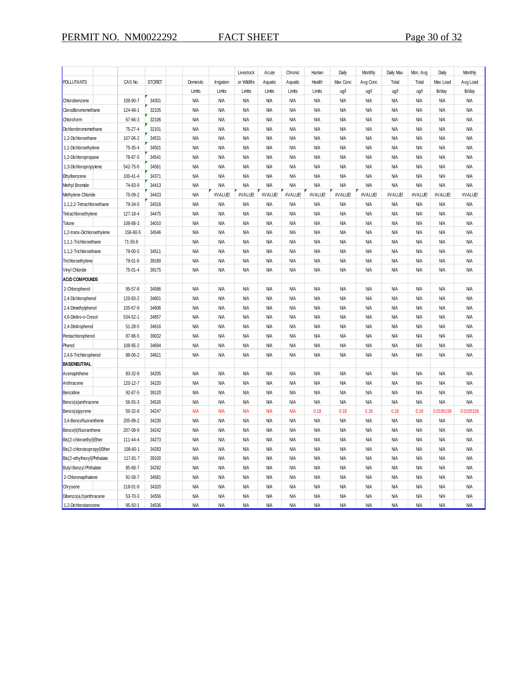|                               |               |               |            |            | Livestock   | Acute      | Chronic    | Human      | Daily      | Monthly    | Daily Max  | Mon. Avg   | Daily      | Monthly    |
|-------------------------------|---------------|---------------|------------|------------|-------------|------------|------------|------------|------------|------------|------------|------------|------------|------------|
| <b>POLLUTANTS</b>             | CAS No.       | <b>STORET</b> | Domestic   | Irrigation | or Wildlife | Aquatic    | Aquatic    | Health     | Max Conc   | Avg Conc   | Total      | Total      | Max Load   | Avg Load   |
|                               |               |               | Limits     | Limits     | Limits      | Limits     | Limits     | Limits     | ug/l       | ug/l       | ug/l       | ug/l       | lb/day     | lb/day     |
| Chlorobenzene                 | 108-90-7      | 34301         | <b>N/A</b> | <b>N/A</b> | <b>N/A</b>  | <b>N/A</b> | <b>N/A</b> | <b>N/A</b> | <b>N/A</b> | <b>N/A</b> | <b>N/A</b> | <b>N/A</b> | <b>N/A</b> | <b>N/A</b> |
| Clorodibromomethane           | 124-48-1      | 32105         | <b>N/A</b> | <b>N/A</b> | N/A         | <b>N/A</b> | <b>N/A</b> | <b>N/A</b> | <b>N/A</b> | <b>N/A</b> | <b>N/A</b> | <b>N/A</b> | <b>N/A</b> | <b>N/A</b> |
| Chloroform                    | 67-66-3       | 32106         | <b>N/A</b> | <b>N/A</b> | <b>N/A</b>  | <b>N/A</b> | <b>N/A</b> | <b>N/A</b> | <b>N/A</b> | <b>N/A</b> | <b>N/A</b> | <b>N/A</b> | <b>N/A</b> | <b>N/A</b> |
| Dichlorobromomethane          | 75-27-4       | 32101         | <b>N/A</b> | <b>N/A</b> | N/A         | <b>N/A</b> | <b>N/A</b> | <b>N/A</b> | <b>N/A</b> | <b>N/A</b> | <b>N/A</b> | <b>N/A</b> | <b>N/A</b> | <b>N/A</b> |
| 1,2-Dichloroethane            | 107-06-2      | 34531         | <b>N/A</b> | N/A        | <b>N/A</b>  | <b>N/A</b> | <b>N/A</b> | <b>N/A</b> | <b>N/A</b> | <b>N/A</b> | <b>N/A</b> | <b>N/A</b> | <b>N/A</b> | <b>N/A</b> |
| 1,1-Dichloroethylene          | 75-35-4       | 34501         | <b>N/A</b> | <b>N/A</b> | <b>N/A</b>  | <b>N/A</b> | <b>N/A</b> | <b>N/A</b> | <b>N/A</b> | <b>N/A</b> | <b>N/A</b> | <b>N/A</b> | <b>N/A</b> | <b>N/A</b> |
| 1,2-Dichloropropane           | 78-87-5       | 34541         | <b>N/A</b> | <b>N/A</b> | <b>N/A</b>  | <b>N/A</b> | <b>N/A</b> | <b>N/A</b> | <b>N/A</b> | <b>N/A</b> | <b>N/A</b> | <b>N/A</b> | <b>N/A</b> | <b>N/A</b> |
| 1,3-Dichloropropylene         | 542-75-6      | 34561         | <b>N/A</b> | <b>N/A</b> | <b>N/A</b>  | <b>N/A</b> | <b>N/A</b> | <b>N/A</b> | ΝA         | <b>N/A</b> | <b>N/A</b> | ΝA         | <b>N/A</b> | <b>N/A</b> |
| Ethylbenzene                  | 100-41-4      | 34371         | ΝA         | N/A        | N/A         | N/A        | <b>N/A</b> | <b>N/A</b> | ΝA         | <b>N/A</b> | <b>N/A</b> | ΝA         | ΝA         | <b>N/A</b> |
| Methyl Bromide                | 74-83-9       | 34413         | <b>N/A</b> | N/A        | N/A         | <b>N/A</b> | <b>N/A</b> | <b>N/A</b> | <b>N/A</b> | <b>N/A</b> | <b>N/A</b> | <b>N/A</b> | <b>N/A</b> | <b>N/A</b> |
| Methylene Chloride            | 75-09-2       | 34423         | <b>N/A</b> | #VALUE!    | #VALUE!     | #VALUE     | #VALUE!    | #VALUE!    | #VALUE!    | #VALUE!    | #VALUE!    | #VALUE     | #VALUE!    | #VALUE     |
| 1,1,2,2-Tetrachloroethane     | 79-34-5       | 34516         | <b>N/A</b> | <b>N/A</b> | <b>N/A</b>  | <b>N/A</b> | <b>N/A</b> | <b>N/A</b> | <b>N/A</b> | <b>N/A</b> | <b>N/A</b> | <b>N/A</b> | <b>N/A</b> | <b>N/A</b> |
| Tetrachloroethylene           | 127-18-4      | 34475         | <b>N/A</b> | <b>N/A</b> | N/A         | <b>N/A</b> | <b>N/A</b> | <b>N/A</b> | <b>N/A</b> | <b>N/A</b> | <b>N/A</b> | <b>N/A</b> | <b>N/A</b> | <b>N/A</b> |
| Tolune                        | 108-88-3      | 34010         | <b>N/A</b> | <b>N/A</b> | <b>N/A</b>  | <b>N/A</b> | <b>N/A</b> | <b>N/A</b> | <b>N/A</b> | <b>N/A</b> | <b>N/A</b> | ΝA         | <b>N/A</b> | <b>N/A</b> |
| 1,2-trans-Dichloroethylene    | 156-60-5      | 34546         | <b>N/A</b> | <b>N/A</b> | <b>N/A</b>  | <b>N/A</b> | <b>N/A</b> | <b>N/A</b> | <b>N/A</b> | <b>N/A</b> | <b>N/A</b> | <b>N/A</b> | <b>N/A</b> | <b>N/A</b> |
| 1,1,1-Trichloroethane         | $71 - 55 - 6$ |               | <b>N/A</b> | <b>N/A</b> | <b>N/A</b>  | <b>N/A</b> | <b>N/A</b> | <b>N/A</b> | <b>N/A</b> | <b>N/A</b> | <b>N/A</b> | <b>N/A</b> | <b>N/A</b> | <b>N/A</b> |
| 1,1,2-Trichloroethane         | 79-00-5       | 34511         | <b>N/A</b> | <b>N/A</b> | <b>N/A</b>  | <b>N/A</b> | <b>N/A</b> | <b>N/A</b> | <b>N/A</b> | <b>N/A</b> | <b>N/A</b> | <b>N/A</b> | <b>N/A</b> | <b>N/A</b> |
| Trichloroethylene             | 79-01-6       | 39180         | <b>N/A</b> | <b>N/A</b> | <b>N/A</b>  | <b>N/A</b> | <b>N/A</b> | <b>N/A</b> | <b>N/A</b> | <b>N/A</b> | <b>N/A</b> | <b>N/A</b> | <b>N/A</b> | <b>N/A</b> |
| Vinyl Chloride                | 75-01-4       | 39175         | <b>N/A</b> | N/A        | N/A         | <b>N/A</b> | <b>N/A</b> | <b>N/A</b> | <b>N/A</b> | <b>N/A</b> | <b>N/A</b> | <b>N/A</b> | <b>N/A</b> | <b>N/A</b> |
| <b>ACID COMPOUNDS</b>         |               |               |            |            |             |            |            |            |            |            |            |            |            |            |
| 2-Chlorophenol                | $95 - 57 - 8$ | 34586         | <b>N/A</b> | N/A        | N/A         | <b>N/A</b> | <b>N/A</b> | <b>N/A</b> | <b>N/A</b> | <b>N/A</b> | <b>N/A</b> | <b>N/A</b> | <b>N/A</b> | <b>N/A</b> |
| 2,4-Dichlorophenol            | 120-83-2      | 34601         | <b>N/A</b> | N/A        | N/A         | <b>N/A</b> | <b>N/A</b> | <b>N/A</b> | <b>N/A</b> | <b>N/A</b> | <b>N/A</b> | <b>N/A</b> | <b>N/A</b> | <b>N/A</b> |
| 2,4-Dimethylphenol            | 105-67-9      | 34606         | <b>N/A</b> | <b>N/A</b> | <b>N/A</b>  | <b>N/A</b> | <b>N/A</b> | <b>N/A</b> | <b>N/A</b> | <b>N/A</b> | <b>N/A</b> | <b>N/A</b> | <b>N/A</b> | <b>N/A</b> |
| 4,6-Dinitro-o-Cresol          | 534-52-1      | 34657         | <b>N/A</b> | <b>N/A</b> | N/A         | <b>N/A</b> | <b>N/A</b> | <b>N/A</b> | <b>N/A</b> | <b>N/A</b> | <b>N/A</b> | <b>N/A</b> | <b>N/A</b> | <b>N/A</b> |
| 2,4-Dinitrophenol             | $51 - 28 - 5$ | 34616         | <b>N/A</b> | <b>N/A</b> | <b>N/A</b>  | <b>N/A</b> | <b>N/A</b> | <b>N/A</b> | <b>N/A</b> | <b>N/A</b> | <b>N/A</b> | ΝA         | <b>N/A</b> | <b>N/A</b> |
| Pentachlorophenol             | 87-86-5       | 39032         | <b>N/A</b> | <b>N/A</b> | <b>N/A</b>  | N/A        | <b>N/A</b> | <b>N/A</b> | <b>N/A</b> | <b>N/A</b> | <b>N/A</b> | ΝA         | <b>N/A</b> | <b>N/A</b> |
| Phenol                        | 108-95-2      | 34694         | <b>N/A</b> | <b>N/A</b> | <b>N/A</b>  | <b>N/A</b> | <b>N/A</b> | <b>N/A</b> | <b>N/A</b> | <b>N/A</b> | <b>N/A</b> | <b>N/A</b> | <b>N/A</b> | <b>N/A</b> |
| 2,4,6-Trichlorophenol         | 88-06-2       | 34621         | <b>N/A</b> | N/A        | N/A         | <b>N/A</b> | <b>N/A</b> | <b>N/A</b> | <b>N/A</b> | <b>N/A</b> | <b>N/A</b> | <b>N/A</b> | <b>N/A</b> | <b>N/A</b> |
| <b>BASE/NEUTRAL</b>           |               |               |            |            |             |            |            |            |            |            |            |            |            |            |
| Acenaphthene                  | 83-32-9       | 34205         | <b>N/A</b> | N/A        | N/A         | <b>N/A</b> | <b>N/A</b> | <b>N/A</b> | <b>N/A</b> | <b>N/A</b> | <b>N/A</b> | <b>N/A</b> | <b>N/A</b> | <b>N/A</b> |
| Anthracene                    | 120-12-7      | 34220         | <b>N/A</b> | <b>N/A</b> | N/A         | <b>N/A</b> | <b>N/A</b> | <b>N/A</b> | <b>N/A</b> | <b>N/A</b> | <b>N/A</b> | <b>N/A</b> | <b>N/A</b> | <b>N/A</b> |
| Benzidine                     | $92 - 87 - 5$ | 39120         | <b>N/A</b> | <b>N/A</b> | <b>N/A</b>  | <b>N/A</b> | <b>N/A</b> | <b>N/A</b> | <b>N/A</b> | <b>N/A</b> | <b>N/A</b> | <b>N/A</b> | <b>N/A</b> | <b>N/A</b> |
| Benzo(a)anthracene            | $56 - 55 - 3$ | 34526         | <b>N/A</b> | <b>N/A</b> | N/A         | <b>N/A</b> | <b>N/A</b> | <b>N/A</b> | <b>N/A</b> | <b>N/A</b> | <b>N/A</b> | <b>N/A</b> | <b>N/A</b> | <b>N/A</b> |
| Benzo(a)pyrene                | $50 - 32 - 8$ | 34247         | <b>N/A</b> | <b>N/A</b> | <b>N/A</b>  | <b>N/A</b> | <b>N/A</b> | 0.18       | 0.18       | 0.18       | 0.18       | 0.18       | 0.0195156  | 0.0195156  |
| 3,4-Benzofluoranthene         | 205-99-2      | 34230         | <b>N/A</b> | <b>N/A</b> | <b>N/A</b>  | <b>N/A</b> | <b>N/A</b> | <b>N/A</b> | <b>N/A</b> | <b>N/A</b> | <b>N/A</b> | <b>N/A</b> | <b>N/A</b> | <b>N/A</b> |
| Benzo(k)fluoranthene          | 207-08-9      | 34242         | ΝA         | <b>N/A</b> | <b>N/A</b>  | <b>N/A</b> | <b>N/A</b> | <b>N/A</b> | <b>N/A</b> | <b>N/A</b> | <b>N/A</b> | <b>N/A</b> | <b>N/A</b> | <b>N/A</b> |
| Bis(2-chloroethyl) Ether      | 111-44-4      | 34273         | <b>N/A</b> | N/A        | N/A         | N/A        | <b>N/A</b> | <b>N/A</b> | <b>N/A</b> | <b>N/A</b> | <b>N/A</b> | ΝA         | <b>N/A</b> | <b>N/A</b> |
| Bis(2-chloroisopropyl) Ether  | 108-60-1      | 34283         | <b>N/A</b> | N/A        | N/A         | <b>N/A</b> | <b>N/A</b> | <b>N/A</b> | <b>N/A</b> | <b>N/A</b> | <b>N/A</b> | <b>N/A</b> | <b>N/A</b> | <b>N/A</b> |
| Bis(2-ethylhexyl)Phthalate    | 117-81-7      | 39100         | <b>N/A</b> | N/A        | N/A         | <b>N/A</b> | <b>N/A</b> | <b>N/A</b> | <b>N/A</b> | <b>N/A</b> | <b>N/A</b> | <b>N/A</b> | <b>N/A</b> | <b>N/A</b> |
| <b>Butyl Benzyl Phthalate</b> | 85-68-7       | 34292         | <b>N/A</b> | <b>N/A</b> | <b>N/A</b>  | <b>N/A</b> | <b>N/A</b> | <b>N/A</b> | <b>N/A</b> | <b>N/A</b> | <b>N/A</b> | <b>N/A</b> | <b>N/A</b> | <b>N/A</b> |
| 2-Chloronapthalene            | $91 - 58 - 7$ | 34581         | <b>N/A</b> | <b>N/A</b> | <b>N/A</b>  | <b>N/A</b> | <b>N/A</b> | <b>N/A</b> | <b>N/A</b> | <b>N/A</b> | <b>N/A</b> | <b>N/A</b> | <b>N/A</b> | <b>N/A</b> |
| Chrysene                      | 218-01-9      | 34320         | <b>N/A</b> | <b>N/A</b> | <b>N/A</b>  | <b>N/A</b> | <b>N/A</b> | <b>N/A</b> | <b>N/A</b> | <b>N/A</b> | <b>N/A</b> | <b>N/A</b> | <b>N/A</b> | <b>N/A</b> |
| Dibenzo(a,h)anthracene        | $53 - 70 - 3$ | 34556         | <b>N/A</b> | <b>N/A</b> | <b>N/A</b>  | <b>N/A</b> | <b>N/A</b> | <b>N/A</b> | <b>N/A</b> | <b>N/A</b> | <b>N/A</b> | <b>N/A</b> | <b>N/A</b> | <b>N/A</b> |
| 1,2-Dichlorobenzene           | $95 - 50 - 1$ | 34536         | <b>N/A</b> | <b>N/A</b> | <b>N/A</b>  | <b>N/A</b> | <b>N/A</b> | <b>N/A</b> | <b>N/A</b> | <b>N/A</b> | <b>N/A</b> | <b>N/A</b> | <b>N/A</b> | <b>N/A</b> |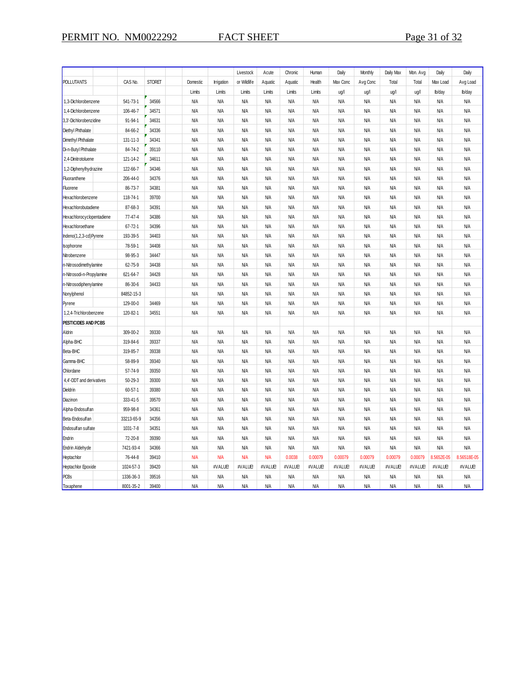|                            |               |               |            |            | Livestock   | Acute      | Chronic    | Human      | Daily      | Monthly    | Daily Max  | Mon. Avg   | Daily      | Daily       |
|----------------------------|---------------|---------------|------------|------------|-------------|------------|------------|------------|------------|------------|------------|------------|------------|-------------|
| POLLUTANTS                 | CAS No.       | <b>STORET</b> | Domestic   | Irrigation | or Wildlife | Aquatic    | Aquatic    | Health     | Max Conc   | Avg Conc   | Total      | Total      | Max Load   | Avg Load    |
|                            |               |               | Limits     | Limits     | Limits      | Limits     | Limits     | Limits     | ug/l       | ug/l       | ug/l       | ug/l       | lb/day     | lb/day      |
| 1,3-Dichlorobenzene        | 541-73-1      | 34566         | <b>N/A</b> | N/A        | <b>N/A</b>  | ΝA         | ΝA         | ΝA         | ΝA         | ΝA         | ΝA         | ΝA         | <b>N/A</b> | <b>N/A</b>  |
| 1,4-Dichlorobenzene        | 106-46-7      | 34571         | <b>N/A</b> | <b>N/A</b> | <b>N/A</b>  | <b>N/A</b> | <b>N/A</b> | <b>N/A</b> | <b>N/A</b> | <b>N/A</b> | <b>N/A</b> | <b>N/A</b> | <b>N/A</b> | <b>N/A</b>  |
| 3,3'-Dichlorobenzidine     | 91-94-1       | 34631         | <b>N/A</b> | <b>N/A</b> | <b>N/A</b>  | <b>N/A</b> | <b>N/A</b> | <b>N/A</b> | <b>N/A</b> | <b>N/A</b> | <b>N/A</b> | <b>N/A</b> | <b>N/A</b> | <b>N/A</b>  |
| <b>Diethyl Phthalate</b>   | 84-66-2       | 34336         | <b>N/A</b> | <b>N/A</b> | <b>N/A</b>  | <b>N/A</b> | <b>N/A</b> | <b>N/A</b> | <b>N/A</b> | <b>N/A</b> | <b>N/A</b> | <b>N/A</b> | <b>N/A</b> | <b>N/A</b>  |
| Dimethyl Phthalate         | 131-11-3      | 34341         | ΝA         | <b>N/A</b> | ΝA          | ΝA         | <b>N/A</b> | ΝA         | ΝA         | <b>N/A</b> | ΝA         | ΝA         | <b>N/A</b> | <b>N/A</b>  |
| Di-n-Butyl Phthalate       | 84-74-2       | 39110         | <b>N/A</b> | <b>N/A</b> | <b>N/A</b>  | <b>N/A</b> | <b>N/A</b> | <b>N/A</b> | <b>N/A</b> | <b>N/A</b> | <b>N/A</b> | <b>N/A</b> | <b>N/A</b> | <b>N/A</b>  |
| 2,4-Dinitrotoluene         | 121-14-2      | 34611         | <b>N/A</b> | <b>N/A</b> | <b>N/A</b>  | <b>N/A</b> | <b>N/A</b> | <b>N/A</b> | <b>N/A</b> | <b>N/A</b> | <b>N/A</b> | <b>N/A</b> | <b>N/A</b> | <b>N/A</b>  |
| 1,2-Diphenylhydrazine      | 122-66-7      | 34346         | <b>N/A</b> | <b>N/A</b> | <b>N/A</b>  | <b>N/A</b> | <b>N/A</b> | <b>N/A</b> | <b>N/A</b> | <b>N/A</b> | <b>N/A</b> | <b>N/A</b> | <b>N/A</b> | <b>N/A</b>  |
| Fluoranthene               | 206-44-0      | 34376         | <b>N/A</b> | <b>N/A</b> | <b>N/A</b>  | <b>N/A</b> | <b>N/A</b> | <b>N/A</b> | <b>N/A</b> | <b>N/A</b> | <b>N/A</b> | <b>N/A</b> | <b>N/A</b> | <b>N/A</b>  |
| Fluorene                   | 86-73-7       | 34381         | ΝA         | N/A        | <b>N/A</b>  | ΝA         | <b>N/A</b> | ΝA         | ΝA         | ΝA         | ΝA         | ΝA         | <b>N/A</b> | ΝA          |
| Hexachlorobenzene          | 118-74-1      | 39700         | <b>N/A</b> | <b>N/A</b> | <b>N/A</b>  | <b>N/A</b> | <b>N/A</b> | <b>N/A</b> | <b>N/A</b> | <b>N/A</b> | <b>N/A</b> | <b>N/A</b> | <b>N/A</b> | <b>N/A</b>  |
| Hexachlorobutadiene        | 87-68-3       | 34391         | <b>N/A</b> | <b>N/A</b> | <b>N/A</b>  | <b>N/A</b> | <b>N/A</b> | <b>N/A</b> | <b>N/A</b> | <b>N/A</b> | <b>N/A</b> | <b>N/A</b> | <b>N/A</b> | <b>N/A</b>  |
| Hexachlorocyclopentadiene  | 77-47-4       | 34386         | <b>N/A</b> | <b>N/A</b> | <b>N/A</b>  | <b>N/A</b> | <b>N/A</b> | <b>N/A</b> | <b>N/A</b> | <b>N/A</b> | <b>N/A</b> | <b>N/A</b> | <b>N/A</b> | <b>N/A</b>  |
| Hexachloroethane           | $67 - 72 - 1$ | 34396         | <b>N/A</b> | <b>N/A</b> | <b>N/A</b>  | <b>N/A</b> | <b>N/A</b> | <b>N/A</b> | <b>N/A</b> | <b>N/A</b> | <b>N/A</b> | <b>N/A</b> | <b>N/A</b> | <b>N/A</b>  |
| Indeno(1,2,3-cd)Pyrene     | 193-39-5      | 34403         | <b>N/A</b> | <b>N/A</b> | <b>N/A</b>  | <b>N/A</b> | <b>N/A</b> | <b>N/A</b> | <b>N/A</b> | <b>N/A</b> | <b>N/A</b> | <b>N/A</b> | <b>N/A</b> | <b>N/A</b>  |
| sophorone                  | 78-59-1       | 34408         | <b>N/A</b> | <b>N/A</b> | <b>N/A</b>  | <b>N/A</b> | <b>N/A</b> | <b>N/A</b> | <b>N/A</b> | <b>N/A</b> | <b>N/A</b> | <b>N/A</b> | <b>N/A</b> | <b>N/A</b>  |
| Nitrobenzene               | 98-95-3       | 34447         | <b>N/A</b> | <b>N/A</b> | <b>N/A</b>  | <b>N/A</b> | <b>N/A</b> | <b>N/A</b> | <b>N/A</b> | <b>N/A</b> | <b>N/A</b> | <b>N/A</b> | <b>N/A</b> | <b>N/A</b>  |
| n-Nitrosodimethylamine     | 62-75-9       | 34438         | <b>N/A</b> | <b>N/A</b> | <b>N/A</b>  | <b>N/A</b> | <b>N/A</b> | <b>N/A</b> | <b>N/A</b> | <b>N/A</b> | <b>N/A</b> | <b>N/A</b> | <b>N/A</b> | <b>N/A</b>  |
| n-Nitrosodi-n-Propylamine  | 621-64-7      | 34428         | <b>N/A</b> | N/A        | <b>N/A</b>  | <b>N/A</b> | <b>N/A</b> | <b>N/A</b> | <b>N/A</b> | <b>N/A</b> | <b>N/A</b> | ΝA         | <b>N/A</b> | <b>N/A</b>  |
| n-Nitrosodiphenylamine     | 86-30-6       | 34433         | <b>N/A</b> | <b>N/A</b> | <b>N/A</b>  | <b>N/A</b> | <b>N/A</b> | <b>N/A</b> | <b>N/A</b> | <b>N/A</b> | <b>N/A</b> | <b>N/A</b> | <b>N/A</b> | <b>N/A</b>  |
| Nonylphenol                | 84852-15-3    |               | <b>N/A</b> | <b>N/A</b> | <b>N/A</b>  | <b>N/A</b> | <b>N/A</b> | <b>N/A</b> | <b>N/A</b> | <b>N/A</b> | <b>N/A</b> | <b>N/A</b> | <b>N/A</b> | <b>N/A</b>  |
| Pyrene                     | 129-00-0      | 34469         | <b>N/A</b> | <b>N/A</b> | <b>N/A</b>  | <b>N/A</b> | <b>N/A</b> | <b>N/A</b> | <b>N/A</b> | <b>N/A</b> | <b>N/A</b> | <b>N/A</b> | <b>N/A</b> | <b>N/A</b>  |
| 1,2,4-Trichlorobenzene     | 120-82-1      | 34551         | <b>N/A</b> | <b>N/A</b> | <b>N/A</b>  | <b>N/A</b> | <b>N/A</b> | <b>N/A</b> | <b>N/A</b> | <b>N/A</b> | <b>N/A</b> | <b>N/A</b> | <b>N/A</b> | <b>N/A</b>  |
| <b>PESTICIDES AND PCBS</b> |               |               |            |            |             |            |            |            |            |            |            |            |            |             |
| Aldrin                     | 309-00-2      | 39330         | <b>N/A</b> | <b>N/A</b> | <b>N/A</b>  | <b>N/A</b> | <b>N/A</b> | <b>N/A</b> | <b>N/A</b> | <b>N/A</b> | <b>N/A</b> | <b>N/A</b> | <b>N/A</b> | <b>N/A</b>  |
| Alpha-BHC                  | 319-84-6      | 39337         | <b>N/A</b> | <b>N/A</b> | <b>N/A</b>  | <b>N/A</b> | <b>N/A</b> | <b>N/A</b> | <b>N/A</b> | <b>N/A</b> | <b>N/A</b> | <b>N/A</b> | <b>N/A</b> | <b>N/A</b>  |
| Beta-BHC                   | 319-85-7      | 39338         | <b>N/A</b> | <b>N/A</b> | <b>N/A</b>  | <b>N/A</b> | <b>N/A</b> | <b>N/A</b> | <b>N/A</b> | <b>N/A</b> | <b>N/A</b> | <b>N/A</b> | <b>N/A</b> | <b>N/A</b>  |
| Gamma-BHC                  | 58-89-9       | 39340         | ΝA         | N/A        | ΝA          | ΝA         | ΝA         | ΝA         | ΝA         | <b>N/A</b> | ΝA         | ΝA         | <b>N/A</b> | <b>N/A</b>  |
| Chlordane                  | 57-74-9       | 39350         | <b>N/A</b> | <b>N/A</b> | <b>N/A</b>  | <b>N/A</b> | <b>N/A</b> | <b>N/A</b> | <b>N/A</b> | <b>N/A</b> | <b>N/A</b> | <b>N/A</b> | <b>N/A</b> | <b>N/A</b>  |
| 4,4'-DDT and derivatives   | $50 - 29 - 3$ | 39300         | <b>N/A</b> | <b>N/A</b> | <b>N/A</b>  | <b>N/A</b> | <b>N/A</b> | <b>N/A</b> | <b>N/A</b> | <b>N/A</b> | <b>N/A</b> | <b>N/A</b> | <b>N/A</b> | <b>N/A</b>  |
| Dieldrin                   | $60 - 57 - 1$ | 39380         | <b>N/A</b> | <b>N/A</b> | <b>N/A</b>  | <b>N/A</b> | <b>N/A</b> | <b>N/A</b> | <b>N/A</b> | <b>N/A</b> | <b>N/A</b> | <b>N/A</b> | <b>N/A</b> | <b>N/A</b>  |
| Diazinon                   | 333-41-5      | 39570         | <b>N/A</b> | <b>N/A</b> | <b>N/A</b>  | <b>N/A</b> | <b>N/A</b> | <b>N/A</b> | <b>N/A</b> | <b>N/A</b> | <b>N/A</b> | <b>N/A</b> | <b>N/A</b> | <b>N/A</b>  |
| Alpha-Endosulfan           | 959-98-8      | 34361         | ΝA         | N/A        | <b>N/A</b>  | ΝA         | <b>N/A</b> | ΝA         | ΝA         | ΝA         | ΝA         | ΝA         | <b>N/A</b> | ΝA          |
| Beta-Endosulfan            | 33213-65-9    | 34356         | <b>N/A</b> | <b>N/A</b> | <b>N/A</b>  | <b>N/A</b> | <b>N/A</b> | <b>N/A</b> | <b>N/A</b> | <b>N/A</b> | <b>N/A</b> | <b>N/A</b> | <b>N/A</b> | <b>N/A</b>  |
| Endosulf an sulfate        | 1031-7-8      | 34351         | <b>N/A</b> | <b>N/A</b> | <b>N/A</b>  | <b>N/A</b> | <b>N/A</b> | <b>N/A</b> | <b>N/A</b> | <b>N/A</b> | <b>N/A</b> | <b>N/A</b> | <b>N/A</b> | <b>N/A</b>  |
| Endrin                     | 72-20-8       | 39390         | <b>N/A</b> | <b>N/A</b> | <b>N/A</b>  | <b>N/A</b> | <b>N/A</b> | <b>N/A</b> | <b>N/A</b> | <b>N/A</b> | <b>N/A</b> | <b>N/A</b> | <b>N/A</b> | <b>N/A</b>  |
| Endrin Aldehyde            | 7421-93-4     | 34366         | <b>N/A</b> | <b>N/A</b> | <b>N/A</b>  | <b>N/A</b> | <b>N/A</b> | <b>N/A</b> | <b>N/A</b> | <b>N/A</b> | <b>N/A</b> | <b>N/A</b> | <b>N/A</b> | <b>N/A</b>  |
| Heptachlor                 | 76-44-8       | 39410         | <b>N/A</b> | <b>N/A</b> | <b>N/A</b>  | <b>N/A</b> | 0.0038     | 0.00079    | 0.00079    | 0.00079    | 0.00079    | 0.00079    | 8.5652E-05 | 8.56518E-05 |
| Heptachlor Epoxide         | 1024-57-3     | 39420         | <b>N/A</b> | #VALUE!    | #VALUE!     | #VALUE!    | #VALUE!    | #VALUE!    | #VALUE!    | #VALUE!    | #VALUE!    | #VALUE!    | #VALUE!    | #VALUE      |
| <b>PCBs</b>                | 1336-36-3     | 39516         | <b>N/A</b> | <b>N/A</b> | <b>N/A</b>  | <b>N/A</b> | <b>N/A</b> | <b>N/A</b> | <b>N/A</b> | <b>N/A</b> | <b>N/A</b> | <b>N/A</b> | <b>N/A</b> | <b>N/A</b>  |
| Toxaphene                  | 8001-35-2     | 39400         | <b>N/A</b> | <b>N/A</b> | <b>N/A</b>  | <b>N/A</b> | <b>N/A</b> | <b>N/A</b> | <b>N/A</b> | <b>N/A</b> | <b>N/A</b> | <b>N/A</b> | <b>N/A</b> | <b>N/A</b>  |